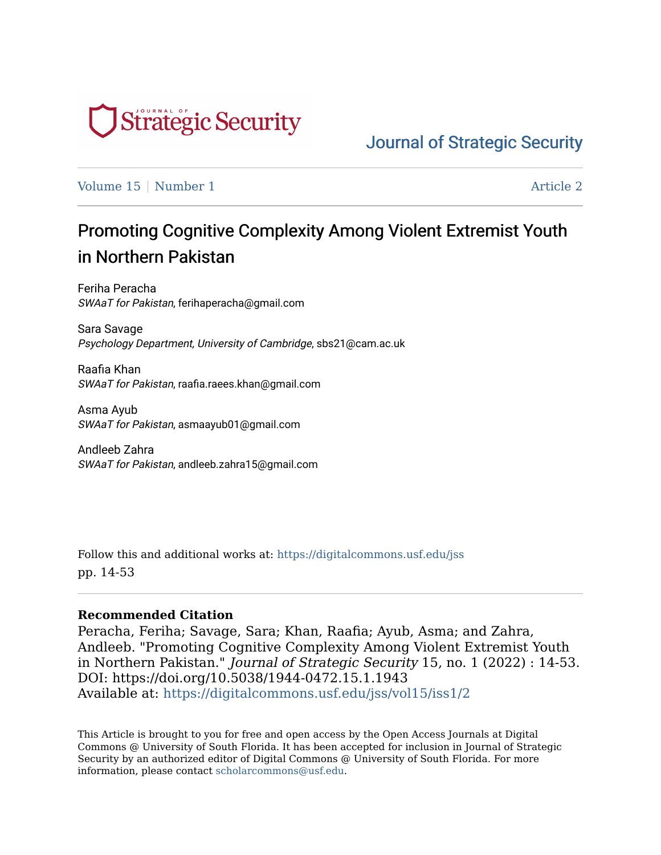

[Journal of Strategic Security](https://digitalcommons.usf.edu/jss) 

[Volume 15](https://digitalcommons.usf.edu/jss/vol15) | [Number 1](https://digitalcommons.usf.edu/jss/vol15/iss1) Article 2

# Promoting Cognitive Complexity Among Violent Extremist Youth in Northern Pakistan

Feriha Peracha SWAaT for Pakistan, ferihaperacha@gmail.com

Sara Savage Psychology Department, University of Cambridge, sbs21@cam.ac.uk

Raafia Khan SWAaT for Pakistan, raafia.raees.khan@gmail.com

Asma Ayub SWAaT for Pakistan, asmaayub01@gmail.com

Andleeb Zahra SWAaT for Pakistan, andleeb.zahra15@gmail.com

Follow this and additional works at: [https://digitalcommons.usf.edu/jss](https://digitalcommons.usf.edu/jss?utm_source=digitalcommons.usf.edu%2Fjss%2Fvol15%2Fiss1%2F2&utm_medium=PDF&utm_campaign=PDFCoverPages) pp. 14-53

#### **Recommended Citation**

Peracha, Feriha; Savage, Sara; Khan, Raafia; Ayub, Asma; and Zahra, Andleeb. "Promoting Cognitive Complexity Among Violent Extremist Youth in Northern Pakistan." Journal of Strategic Security 15, no. 1 (2022) : 14-53. DOI: https://doi.org/10.5038/1944-0472.15.1.1943 Available at: [https://digitalcommons.usf.edu/jss/vol15/iss1/2](https://digitalcommons.usf.edu/jss/vol15/iss1/2?utm_source=digitalcommons.usf.edu%2Fjss%2Fvol15%2Fiss1%2F2&utm_medium=PDF&utm_campaign=PDFCoverPages) 

This Article is brought to you for free and open access by the Open Access Journals at Digital Commons @ University of South Florida. It has been accepted for inclusion in Journal of Strategic Security by an authorized editor of Digital Commons @ University of South Florida. For more information, please contact [scholarcommons@usf.edu.](mailto:scholarcommons@usf.edu)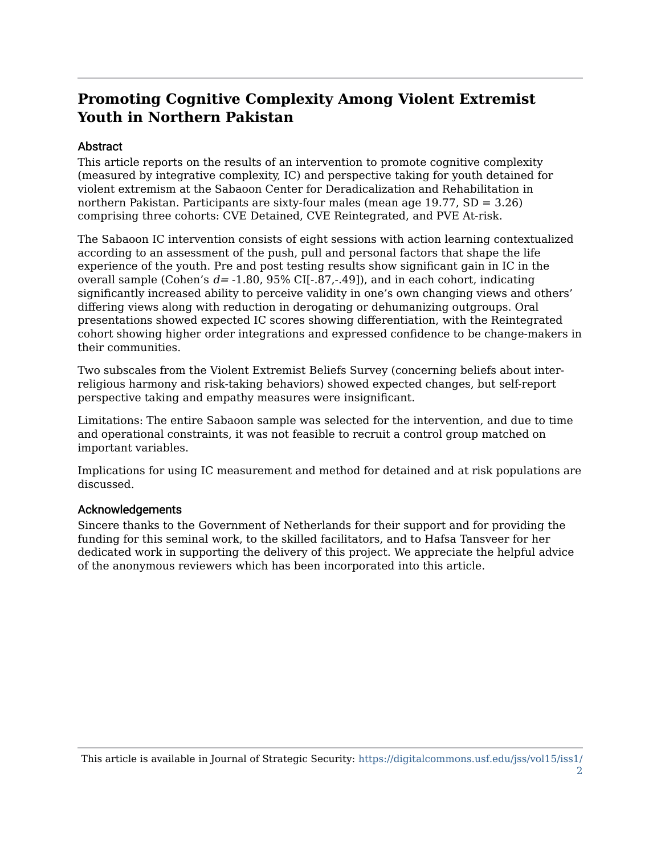# **Promoting Cognitive Complexity Among Violent Extremist Youth in Northern Pakistan**

#### **Abstract**

This article reports on the results of an intervention to promote cognitive complexity (measured by integrative complexity, IC) and perspective taking for youth detained for violent extremism at the Sabaoon Center for Deradicalization and Rehabilitation in northern Pakistan. Participants are sixty-four males (mean age 19.77, SD = 3.26) comprising three cohorts: CVE Detained, CVE Reintegrated, and PVE At-risk.

The Sabaoon IC intervention consists of eight sessions with action learning contextualized according to an assessment of the push, pull and personal factors that shape the life experience of the youth. Pre and post testing results show significant gain in IC in the overall sample (Cohen's  $d = -1.80$ , 95% CI[ $-.87,-.49$ ]), and in each cohort, indicating significantly increased ability to perceive validity in one's own changing views and others' differing views along with reduction in derogating or dehumanizing outgroups. Oral presentations showed expected IC scores showing differentiation, with the Reintegrated cohort showing higher order integrations and expressed confidence to be change-makers in their communities.

Two subscales from the Violent Extremist Beliefs Survey (concerning beliefs about interreligious harmony and risk-taking behaviors) showed expected changes, but self-report perspective taking and empathy measures were insignificant.

Limitations: The entire Sabaoon sample was selected for the intervention, and due to time and operational constraints, it was not feasible to recruit a control group matched on important variables.

Implications for using IC measurement and method for detained and at risk populations are discussed.

#### Acknowledgements

Sincere thanks to the Government of Netherlands for their support and for providing the funding for this seminal work, to the skilled facilitators, and to Hafsa Tansveer for her dedicated work in supporting the delivery of this project. We appreciate the helpful advice of the anonymous reviewers which has been incorporated into this article.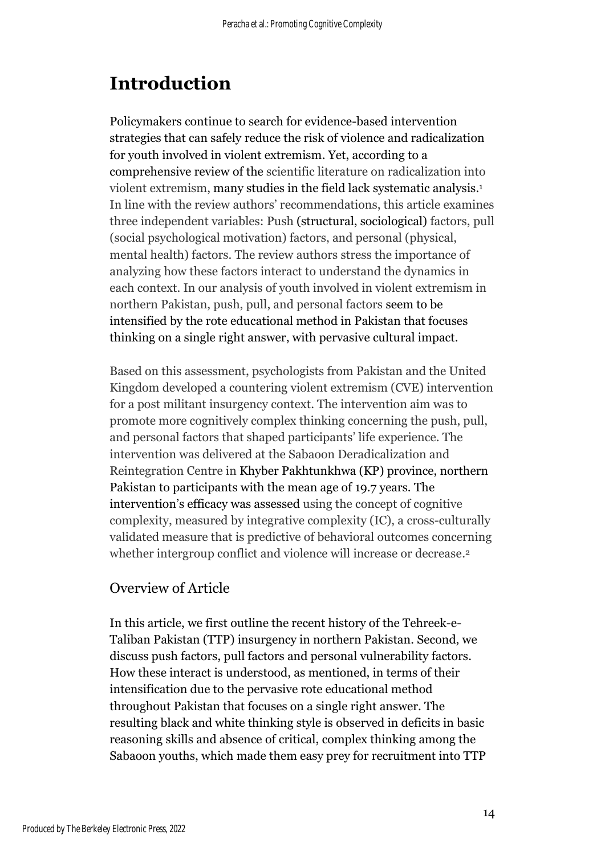# **Introduction**

Policymakers continue to search for evidence-based intervention strategies that can safely reduce the risk of violence and radicalization for youth involved in violent extremism. Yet, according to a comprehensive review of the scientific literature on radicalization into violent extremism, many studies in the field lack systematic analysis. 1 In line with the review authors' recommendations, this article examines three independent variables: Push (structural, sociological) factors, pull (social psychological motivation) factors, and personal (physical, mental health) factors. The review authors stress the importance of analyzing how these factors interact to understand the dynamics in each context. In our analysis of youth involved in violent extremism in northern Pakistan, push, pull, and personal factors seem to be intensified by the rote educational method in Pakistan that focuses thinking on a single right answer, with pervasive cultural impact.

Based on this assessment, psychologists from Pakistan and the United Kingdom developed a countering violent extremism (CVE) intervention for a post militant insurgency context. The intervention aim was to promote more cognitively complex thinking concerning the push, pull, and personal factors that shaped participants' life experience. The intervention was delivered at the Sabaoon Deradicalization and Reintegration Centre in Khyber Pakhtunkhwa (KP) province, northern Pakistan to participants with the mean age of 19.7 years. The intervention's efficacy was assessed using the concept of cognitive complexity, measured by integrative complexity (IC), a cross-culturally validated measure that is predictive of behavioral outcomes concerning whether intergroup conflict and violence will increase or decrease.<sup>2</sup>

# Overview of Article

In this article, we first outline the recent history of the Tehreek-e-Taliban Pakistan (TTP) insurgency in northern Pakistan. Second, we discuss push factors, pull factors and personal vulnerability factors. How these interact is understood, as mentioned, in terms of their intensification due to the pervasive rote educational method throughout Pakistan that focuses on a single right answer. The resulting black and white thinking style is observed in deficits in basic reasoning skills and absence of critical, complex thinking among the Sabaoon youths, which made them easy prey for recruitment into TTP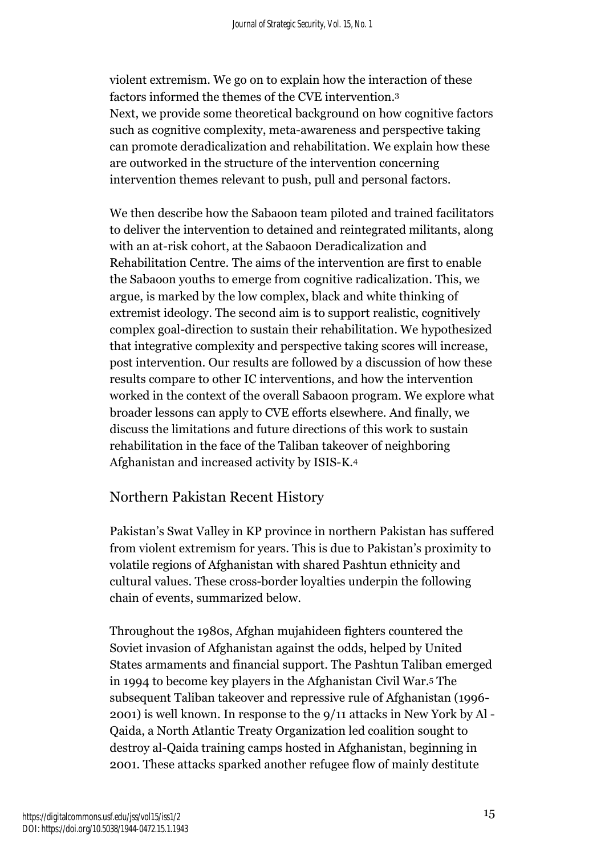violent extremism. We go on to explain how the interaction of these factors informed the themes of the CVE intervention. 3 Next, we provide some theoretical background on how cognitive factors such as cognitive complexity, meta-awareness and perspective taking can promote deradicalization and rehabilitation. We explain how these are outworked in the structure of the intervention concerning intervention themes relevant to push, pull and personal factors.

We then describe how the Sabaoon team piloted and trained facilitators to deliver the intervention to detained and reintegrated militants, along with an at-risk cohort, at the Sabaoon Deradicalization and Rehabilitation Centre. The aims of the intervention are first to enable the Sabaoon youths to emerge from cognitive radicalization. This, we argue, is marked by the low complex, black and white thinking of extremist ideology. The second aim is to support realistic, cognitively complex goal-direction to sustain their rehabilitation. We hypothesized that integrative complexity and perspective taking scores will increase, post intervention. Our results are followed by a discussion of how these results compare to other IC interventions, and how the intervention worked in the context of the overall Sabaoon program. We explore what broader lessons can apply to CVE efforts elsewhere. And finally, we discuss the limitations and future directions of this work to sustain rehabilitation in the face of the Taliban takeover of neighboring Afghanistan and increased activity by ISIS-K. 4

# Northern Pakistan Recent History

Pakistan's Swat Valley in KP province in northern Pakistan has suffered from violent extremism for years. This is due to Pakistan's proximity to volatile regions of Afghanistan with shared Pashtun ethnicity and cultural values. These cross-border loyalties underpin the following chain of events, summarized below.

Throughout the 1980s, Afghan mujahideen fighters countered the Soviet invasion of Afghanistan against the odds, helped by United States armaments and financial support. The Pashtun Taliban emerged in 1994 to become key players in the Afghanistan Civil War. <sup>5</sup> The subsequent Taliban takeover and repressive rule of Afghanistan (1996- 2001) is well known. In response to the 9/11 attacks in New York by Al - Qaida, a North Atlantic Treaty Organization led coalition sought to destroy al-Qaida training camps hosted in Afghanistan, beginning in 2001. These attacks sparked another refugee flow of mainly destitute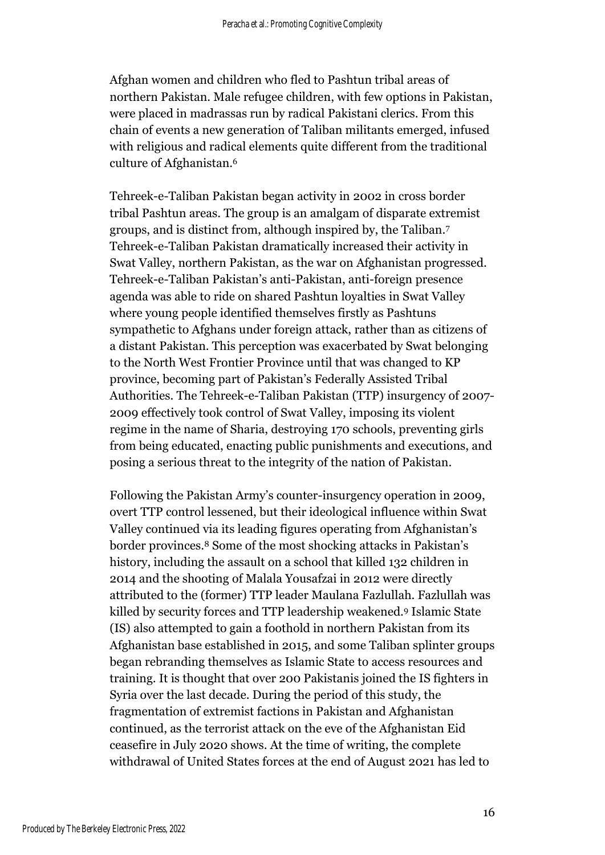Afghan women and children who fled to Pashtun tribal areas of northern Pakistan. Male refugee children, with few options in Pakistan, were placed in madrassas run by radical Pakistani clerics. From this chain of events a new generation of Taliban militants emerged, infused with religious and radical elements quite different from the traditional culture of Afghanistan. 6

Tehreek-e-Taliban Pakistan began activity in 2002 in cross border tribal Pashtun areas. The group is an amalgam of disparate extremist groups, and is distinct from, although inspired by, the Taliban. 7 Tehreek-e-Taliban Pakistan dramatically increased their activity in Swat Valley, northern Pakistan, as the war on Afghanistan progressed. Tehreek-e-Taliban Pakistan's anti-Pakistan, anti-foreign presence agenda was able to ride on shared Pashtun loyalties in Swat Valley where young people identified themselves firstly as Pashtuns sympathetic to Afghans under foreign attack, rather than as citizens of a distant Pakistan. This perception was exacerbated by Swat belonging to the North West Frontier Province until that was changed to KP province, becoming part of Pakistan's Federally Assisted Tribal Authorities. The Tehreek-e-Taliban Pakistan (TTP) insurgency of 2007- 2009 effectively took control of Swat Valley, imposing its violent regime in the name of Sharia, destroying 170 schools, preventing girls from being educated, enacting public punishments and executions, and posing a serious threat to the integrity of the nation of Pakistan.

Following the Pakistan Army's counter-insurgency operation in 2009, overt TTP control lessened, but their ideological influence within Swat Valley continued via its leading figures operating from Afghanistan's border provinces.<sup>8</sup> Some of the most shocking attacks in Pakistan's history, including the assault on a school that killed 132 children in 2014 and the shooting of Malala Yousafzai in 2012 were directly attributed to the (former) TTP leader Maulana Fazlullah. Fazlullah was killed by security forces and TTP leadership weakened. <sup>9</sup> Islamic State (IS) also attempted to gain a foothold in northern Pakistan from its Afghanistan base established in 2015, and some Taliban splinter groups began rebranding themselves as Islamic State to access resources and training. It is thought that over 200 Pakistanis joined the IS fighters in Syria over the last decade. During the period of this study, the fragmentation of extremist factions in Pakistan and Afghanistan continued, as the terrorist attack on the eve of the Afghanistan Eid ceasefire in July 2020 shows. At the time of writing, the complete withdrawal of United States forces at the end of August 2021 has led to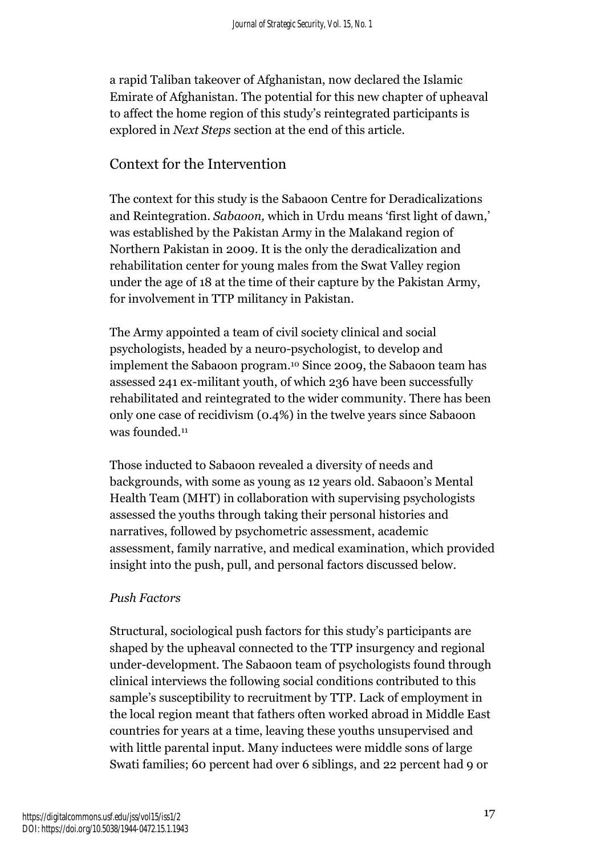a rapid Taliban takeover of Afghanistan, now declared the Islamic Emirate of Afghanistan. The potential for this new chapter of upheaval to affect the home region of this study's reintegrated participants is explored in *Next Steps* section at the end of this article.

# Context for the Intervention

The context for this study is the Sabaoon Centre for Deradicalizations and Reintegration. *Sabaoon,* which in Urdu means 'first light of dawn,' was established by the Pakistan Army in the Malakand region of Northern Pakistan in 2009. It is the only the deradicalization and rehabilitation center for young males from the Swat Valley region under the age of 18 at the time of their capture by the Pakistan Army, for involvement in TTP militancy in Pakistan.

The Army appointed a team of civil society clinical and social psychologists, headed by a neuro-psychologist, to develop and implement the Sabaoon program. <sup>10</sup> Since 2009, the Sabaoon team has assessed 241 ex-militant youth, of which 236 have been successfully rehabilitated and reintegrated to the wider community. There has been only one case of recidivism (0.4%) in the twelve years since Sabaoon was founded. 11

Those inducted to Sabaoon revealed a diversity of needs and backgrounds, with some as young as 12 years old. Sabaoon's Mental Health Team (MHT) in collaboration with supervising psychologists assessed the youths through taking their personal histories and narratives, followed by psychometric assessment, academic assessment, family narrative, and medical examination, which provided insight into the push, pull, and personal factors discussed below.

#### *Push Factors*

Structural, sociological push factors for this study's participants are shaped by the upheaval connected to the TTP insurgency and regional under-development. The Sabaoon team of psychologists found through clinical interviews the following social conditions contributed to this sample's susceptibility to recruitment by TTP. Lack of employment in the local region meant that fathers often worked abroad in Middle East countries for years at a time, leaving these youths unsupervised and with little parental input. Many inductees were middle sons of large Swati families; 60 percent had over 6 siblings, and 22 percent had 9 or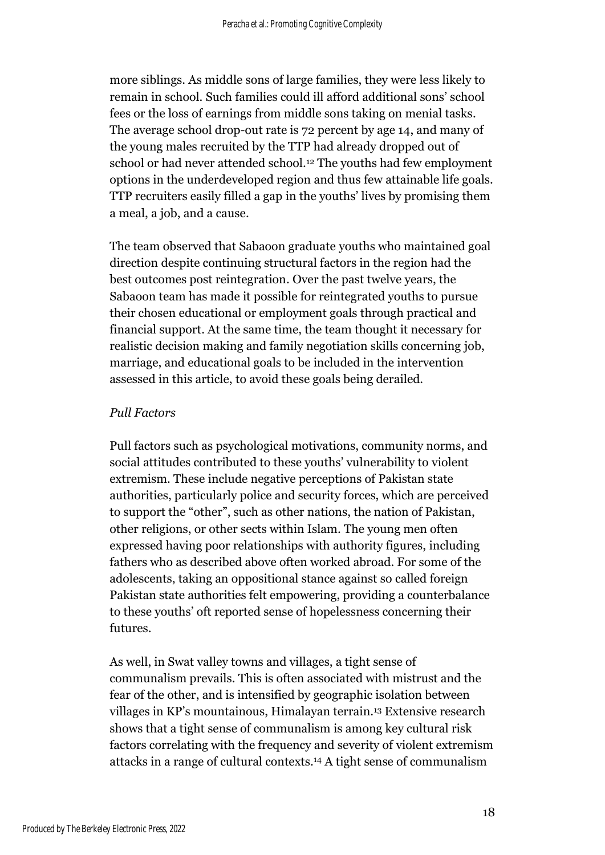more siblings. As middle sons of large families, they were less likely to remain in school. Such families could ill afford additional sons' school fees or the loss of earnings from middle sons taking on menial tasks. The average school drop-out rate is 72 percent by age 14, and many of the young males recruited by the TTP had already dropped out of school or had never attended school.<sup>12</sup> The youths had few employment options in the underdeveloped region and thus few attainable life goals. TTP recruiters easily filled a gap in the youths' lives by promising them a meal, a job, and a cause.

The team observed that Sabaoon graduate youths who maintained goal direction despite continuing structural factors in the region had the best outcomes post reintegration. Over the past twelve years, the Sabaoon team has made it possible for reintegrated youths to pursue their chosen educational or employment goals through practical and financial support. At the same time, the team thought it necessary for realistic decision making and family negotiation skills concerning job, marriage, and educational goals to be included in the intervention assessed in this article, to avoid these goals being derailed.

#### *Pull Factors*

Pull factors such as psychological motivations, community norms, and social attitudes contributed to these youths' vulnerability to violent extremism. These include negative perceptions of Pakistan state authorities, particularly police and security forces, which are perceived to support the "other", such as other nations, the nation of Pakistan, other religions, or other sects within Islam. The young men often expressed having poor relationships with authority figures, including fathers who as described above often worked abroad. For some of the adolescents, taking an oppositional stance against so called foreign Pakistan state authorities felt empowering, providing a counterbalance to these youths' oft reported sense of hopelessness concerning their futures.

As well, in Swat valley towns and villages, a tight sense of communalism prevails. This is often associated with mistrust and the fear of the other, and is intensified by geographic isolation between villages in KP's mountainous, Himalayan terrain. <sup>13</sup> Extensive research shows that a tight sense of communalism is among key cultural risk factors correlating with the frequency and severity of violent extremism attacks in a range of cultural contexts.<sup>14</sup> A tight sense of communalism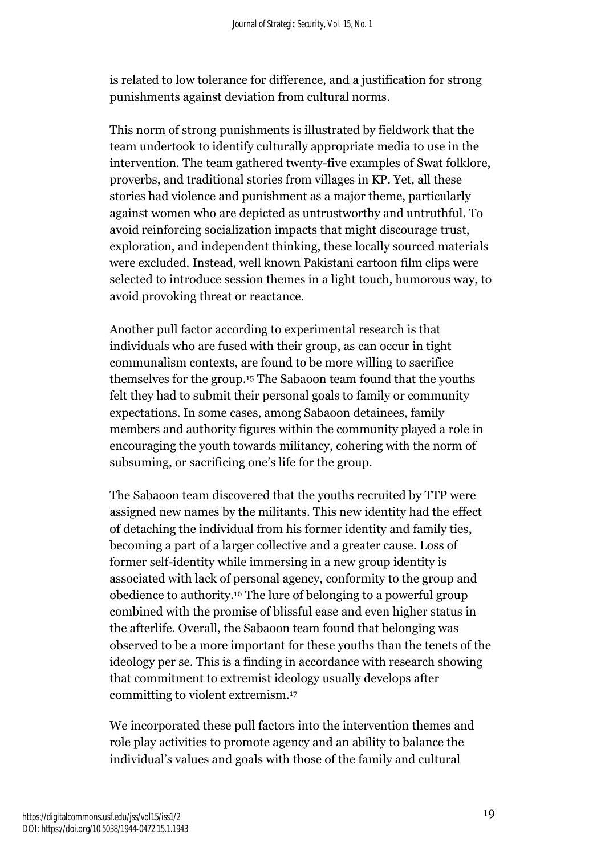is related to low tolerance for difference, and a justification for strong punishments against deviation from cultural norms.

This norm of strong punishments is illustrated by fieldwork that the team undertook to identify culturally appropriate media to use in the intervention. The team gathered twenty-five examples of Swat folklore, proverbs, and traditional stories from villages in KP. Yet, all these stories had violence and punishment as a major theme, particularly against women who are depicted as untrustworthy and untruthful. To avoid reinforcing socialization impacts that might discourage trust, exploration, and independent thinking, these locally sourced materials were excluded. Instead, well known Pakistani cartoon film clips were selected to introduce session themes in a light touch, humorous way, to avoid provoking threat or reactance.

Another pull factor according to experimental research is that individuals who are fused with their group, as can occur in tight communalism contexts, are found to be more willing to sacrifice themselves for the group.<sup>15</sup> The Sabaoon team found that the youths felt they had to submit their personal goals to family or community expectations. In some cases, among Sabaoon detainees, family members and authority figures within the community played a role in encouraging the youth towards militancy, cohering with the norm of subsuming, or sacrificing one's life for the group.

The Sabaoon team discovered that the youths recruited by TTP were assigned new names by the militants. This new identity had the effect of detaching the individual from his former identity and family ties, becoming a part of a larger collective and a greater cause. Loss of former self-identity while immersing in a new group identity is associated with lack of personal agency, conformity to the group and obedience to authority. <sup>16</sup> The lure of belonging to a powerful group combined with the promise of blissful ease and even higher status in the afterlife. Overall, the Sabaoon team found that belonging was observed to be a more important for these youths than the tenets of the ideology per se. This is a finding in accordance with research showing that commitment to extremist ideology usually develops after committing to violent extremism. 17

We incorporated these pull factors into the intervention themes and role play activities to promote agency and an ability to balance the individual's values and goals with those of the family and cultural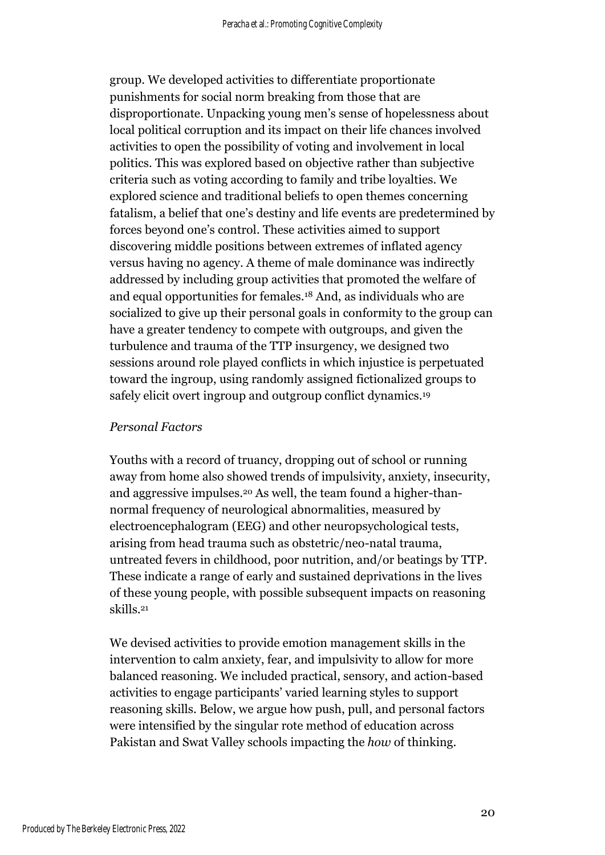group. We developed activities to differentiate proportionate punishments for social norm breaking from those that are disproportionate. Unpacking young men's sense of hopelessness about local political corruption and its impact on their life chances involved activities to open the possibility of voting and involvement in local politics. This was explored based on objective rather than subjective criteria such as voting according to family and tribe loyalties. We explored science and traditional beliefs to open themes concerning fatalism, a belief that one's destiny and life events are predetermined by forces beyond one's control. These activities aimed to support discovering middle positions between extremes of inflated agency versus having no agency. A theme of male dominance was indirectly addressed by including group activities that promoted the welfare of and equal opportunities for females.<sup>18</sup> And, as individuals who are socialized to give up their personal goals in conformity to the group can have a greater tendency to compete with outgroups, and given the turbulence and trauma of the TTP insurgency, we designed two sessions around role played conflicts in which injustice is perpetuated toward the ingroup, using randomly assigned fictionalized groups to safely elicit overt ingroup and outgroup conflict dynamics.<sup>19</sup>

#### *Personal Factors*

Youths with a record of truancy, dropping out of school or running away from home also showed trends of impulsivity, anxiety, insecurity, and aggressive impulses.<sup>20</sup> As well, the team found a higher-thannormal frequency of neurological abnormalities, measured by electroencephalogram (EEG) and other neuropsychological tests, arising from head trauma such as obstetric/neo-natal trauma, untreated fevers in childhood, poor nutrition, and/or beatings by TTP. These indicate a range of early and sustained deprivations in the lives of these young people, with possible subsequent impacts on reasoning skills. 21

We devised activities to provide emotion management skills in the intervention to calm anxiety, fear, and impulsivity to allow for more balanced reasoning. We included practical, sensory, and action-based activities to engage participants' varied learning styles to support reasoning skills. Below, we argue how push, pull, and personal factors were intensified by the singular rote method of education across Pakistan and Swat Valley schools impacting the *how* of thinking.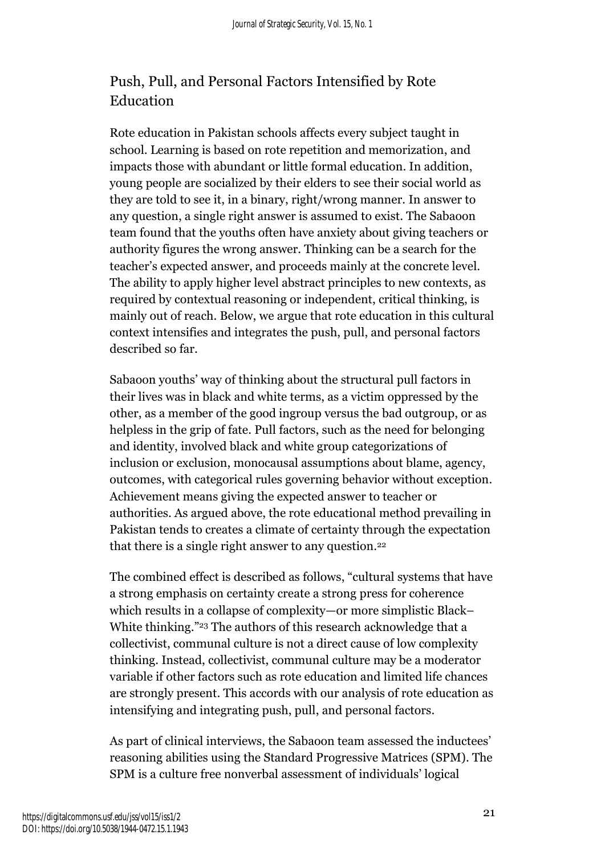# Push, Pull, and Personal Factors Intensified by Rote Education

Rote education in Pakistan schools affects every subject taught in school. Learning is based on rote repetition and memorization, and impacts those with abundant or little formal education. In addition, young people are socialized by their elders to see their social world as they are told to see it, in a binary, right/wrong manner. In answer to any question, a single right answer is assumed to exist. The Sabaoon team found that the youths often have anxiety about giving teachers or authority figures the wrong answer. Thinking can be a search for the teacher's expected answer, and proceeds mainly at the concrete level. The ability to apply higher level abstract principles to new contexts, as required by contextual reasoning or independent, critical thinking, is mainly out of reach. Below, we argue that rote education in this cultural context intensifies and integrates the push, pull, and personal factors described so far.

Sabaoon youths' way of thinking about the structural pull factors in their lives was in black and white terms, as a victim oppressed by the other, as a member of the good ingroup versus the bad outgroup, or as helpless in the grip of fate. Pull factors, such as the need for belonging and identity, involved black and white group categorizations of inclusion or exclusion, monocausal assumptions about blame, agency, outcomes, with categorical rules governing behavior without exception. Achievement means giving the expected answer to teacher or authorities. As argued above, the rote educational method prevailing in Pakistan tends to creates a climate of certainty through the expectation that there is a single right answer to any question.<sup>22</sup>

The combined effect is described as follows, "cultural systems that have a strong emphasis on certainty create a strong press for coherence which results in a collapse of complexity—or more simplistic Black– White thinking."<sup>23</sup> The authors of this research acknowledge that a collectivist, communal culture is not a direct cause of low complexity thinking. Instead, collectivist, communal culture may be a moderator variable if other factors such as rote education and limited life chances are strongly present. This accords with our analysis of rote education as intensifying and integrating push, pull, and personal factors.

As part of clinical interviews, the Sabaoon team assessed the inductees' reasoning abilities using the Standard Progressive Matrices (SPM). The SPM is a culture free nonverbal assessment of individuals' logical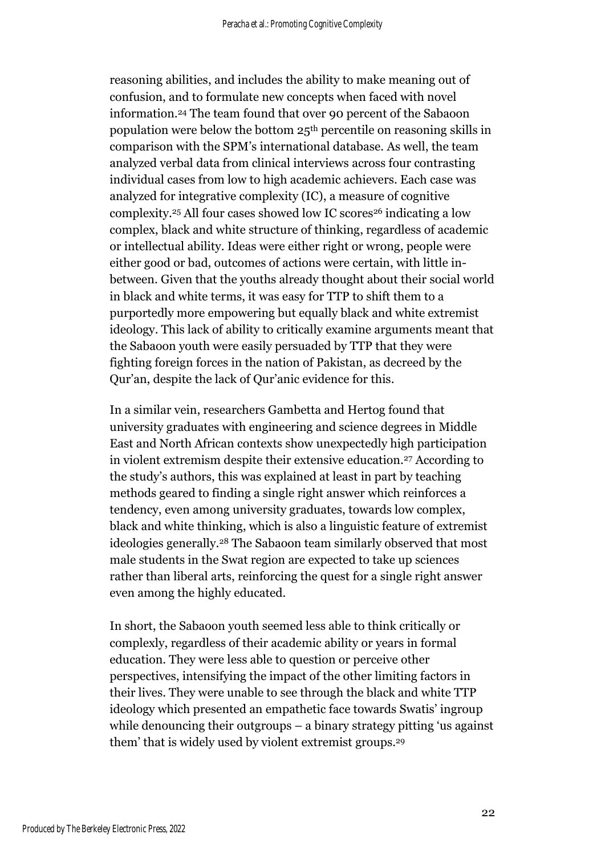reasoning abilities, and includes the ability to make meaning out of confusion, and to formulate new concepts when faced with novel information. <sup>24</sup> The team found that over 90 percent of the Sabaoon population were below the bottom 25th percentile on reasoning skills in comparison with the SPM's international database. As well, the team analyzed verbal data from clinical interviews across four contrasting individual cases from low to high academic achievers. Each case was analyzed for integrative complexity (IC), a measure of cognitive complexity.<sup>25</sup> All four cases showed low IC scores<sup>26</sup> indicating a low complex, black and white structure of thinking, regardless of academic or intellectual ability. Ideas were either right or wrong, people were either good or bad, outcomes of actions were certain, with little inbetween. Given that the youths already thought about their social world in black and white terms, it was easy for TTP to shift them to a purportedly more empowering but equally black and white extremist ideology. This lack of ability to critically examine arguments meant that the Sabaoon youth were easily persuaded by TTP that they were fighting foreign forces in the nation of Pakistan, as decreed by the Qur'an, despite the lack of Qur'anic evidence for this.

In a similar vein, researchers Gambetta and Hertog found that university graduates with engineering and science degrees in Middle East and North African contexts show unexpectedly high participation in violent extremism despite their extensive education. <sup>27</sup> According to the study's authors, this was explained at least in part by teaching methods geared to finding a single right answer which reinforces a tendency, even among university graduates, towards low complex, black and white thinking, which is also a linguistic feature of extremist ideologies generally. <sup>28</sup> The Sabaoon team similarly observed that most male students in the Swat region are expected to take up sciences rather than liberal arts, reinforcing the quest for a single right answer even among the highly educated.

In short, the Sabaoon youth seemed less able to think critically or complexly, regardless of their academic ability or years in formal education. They were less able to question or perceive other perspectives, intensifying the impact of the other limiting factors in their lives. They were unable to see through the black and white TTP ideology which presented an empathetic face towards Swatis' ingroup while denouncing their outgroups – a binary strategy pitting 'us against them' that is widely used by violent extremist groups. 29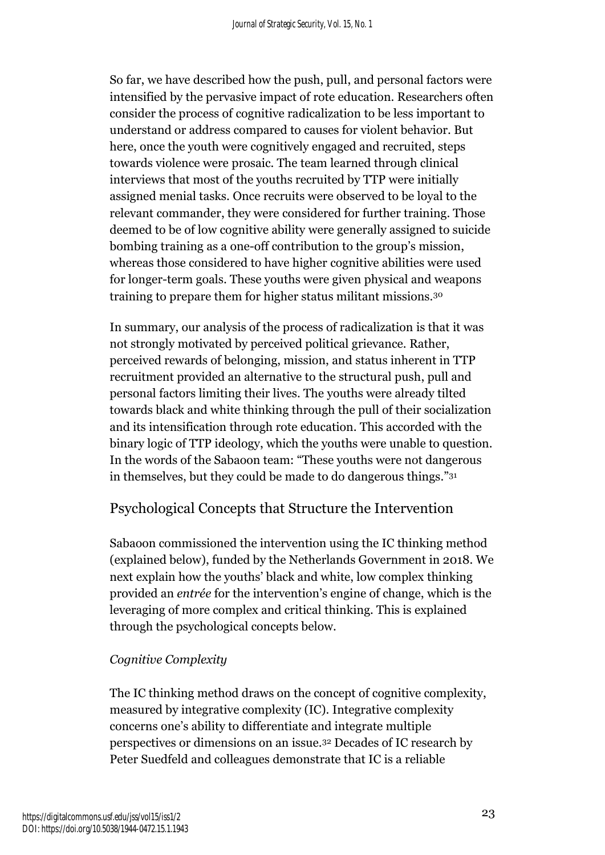So far, we have described how the push, pull, and personal factors were intensified by the pervasive impact of rote education. Researchers often consider the process of cognitive radicalization to be less important to understand or address compared to causes for violent behavior. But here, once the youth were cognitively engaged and recruited, steps towards violence were prosaic. The team learned through clinical interviews that most of the youths recruited by TTP were initially assigned menial tasks. Once recruits were observed to be loyal to the relevant commander, they were considered for further training. Those deemed to be of low cognitive ability were generally assigned to suicide bombing training as a one-off contribution to the group's mission, whereas those considered to have higher cognitive abilities were used for longer-term goals. These youths were given physical and weapons training to prepare them for higher status militant missions.<sup>30</sup>

In summary, our analysis of the process of radicalization is that it was not strongly motivated by perceived political grievance. Rather, perceived rewards of belonging, mission, and status inherent in TTP recruitment provided an alternative to the structural push, pull and personal factors limiting their lives. The youths were already tilted towards black and white thinking through the pull of their socialization and its intensification through rote education. This accorded with the binary logic of TTP ideology, which the youths were unable to question. In the words of the Sabaoon team: "These youths were not dangerous in themselves, but they could be made to do dangerous things."<sup>31</sup>

# Psychological Concepts that Structure the Intervention

Sabaoon commissioned the intervention using the IC thinking method (explained below), funded by the Netherlands Government in 2018. We next explain how the youths' black and white, low complex thinking provided an *entrée* for the intervention's engine of change, which is the leveraging of more complex and critical thinking. This is explained through the psychological concepts below.

## *Cognitive Complexity*

The IC thinking method draws on the concept of cognitive complexity, measured by integrative complexity (IC). Integrative complexity concerns one's ability to differentiate and integrate multiple perspectives or dimensions on an issue.<sup>32</sup> Decades of IC research by Peter Suedfeld and colleagues demonstrate that IC is a reliable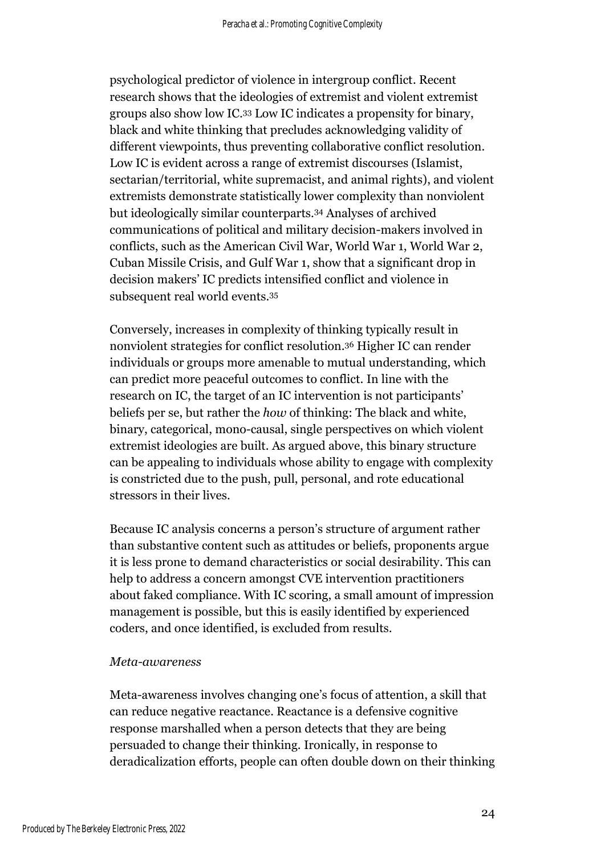psychological predictor of violence in intergroup conflict. Recent research shows that the ideologies of extremist and violent extremist groups also show low IC. <sup>33</sup> Low IC indicates a propensity for binary, black and white thinking that precludes acknowledging validity of different viewpoints, thus preventing collaborative conflict resolution. Low IC is evident across a range of extremist discourses (Islamist, sectarian/territorial, white supremacist, and animal rights), and violent extremists demonstrate statistically lower complexity than nonviolent but ideologically similar counterparts.<sup>34</sup> Analyses of archived communications of political and military decision-makers involved in conflicts, such as the American Civil War, World War 1, World War 2, Cuban Missile Crisis, and Gulf War 1, show that a significant drop in decision makers' IC predicts intensified conflict and violence in subsequent real world events.<sup>35</sup>

Conversely, increases in complexity of thinking typically result in nonviolent strategies for conflict resolution.<sup>36</sup> Higher IC can render individuals or groups more amenable to mutual understanding, which can predict more peaceful outcomes to conflict. In line with the research on IC, the target of an IC intervention is not participants' beliefs per se, but rather the *how* of thinking: The black and white, binary, categorical, mono-causal, single perspectives on which violent extremist ideologies are built. As argued above, this binary structure can be appealing to individuals whose ability to engage with complexity is constricted due to the push, pull, personal, and rote educational stressors in their lives.

Because IC analysis concerns a person's structure of argument rather than substantive content such as attitudes or beliefs, proponents argue it is less prone to demand characteristics or social desirability. This can help to address a concern amongst CVE intervention practitioners about faked compliance. With IC scoring, a small amount of impression management is possible, but this is easily identified by experienced coders, and once identified, is excluded from results.

#### *Meta-awareness*

Meta-awareness involves changing one's focus of attention, a skill that can reduce negative reactance. Reactance is a defensive cognitive response marshalled when a person detects that they are being persuaded to change their thinking. Ironically, in response to deradicalization efforts, people can often double down on their thinking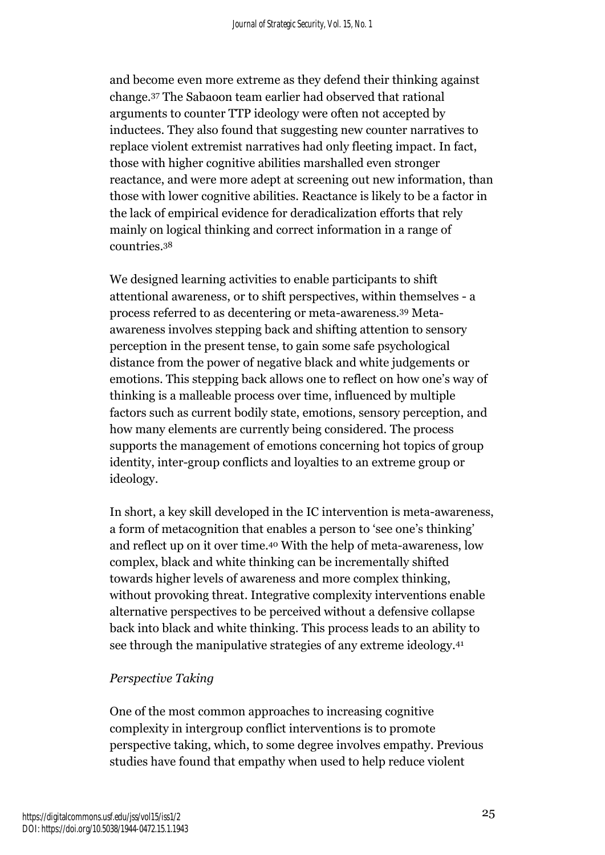and become even more extreme as they defend their thinking against change. <sup>37</sup> The Sabaoon team earlier had observed that rational arguments to counter TTP ideology were often not accepted by inductees. They also found that suggesting new counter narratives to replace violent extremist narratives had only fleeting impact. In fact, those with higher cognitive abilities marshalled even stronger reactance, and were more adept at screening out new information, than those with lower cognitive abilities. Reactance is likely to be a factor in the lack of empirical evidence for deradicalization efforts that rely mainly on logical thinking and correct information in a range of countries. 38

We designed learning activities to enable participants to shift attentional awareness, or to shift perspectives, within themselves - a process referred to as decentering or meta-awareness.<sup>39</sup> Metaawareness involves stepping back and shifting attention to sensory perception in the present tense, to gain some safe psychological distance from the power of negative black and white judgements or emotions. This stepping back allows one to reflect on how one's way of thinking is a malleable process over time, influenced by multiple factors such as current bodily state, emotions, sensory perception, and how many elements are currently being considered. The process supports the management of emotions concerning hot topics of group identity, inter-group conflicts and loyalties to an extreme group or ideology.

In short, a key skill developed in the IC intervention is meta-awareness, a form of metacognition that enables a person to 'see one's thinking' and reflect up on it over time. <sup>40</sup> With the help of meta-awareness, low complex, black and white thinking can be incrementally shifted towards higher levels of awareness and more complex thinking, without provoking threat. Integrative complexity interventions enable alternative perspectives to be perceived without a defensive collapse back into black and white thinking. This process leads to an ability to see through the manipulative strategies of any extreme ideology.<sup>41</sup>

## *Perspective Taking*

One of the most common approaches to increasing cognitive complexity in intergroup conflict interventions is to promote perspective taking, which, to some degree involves empathy. Previous studies have found that empathy when used to help reduce violent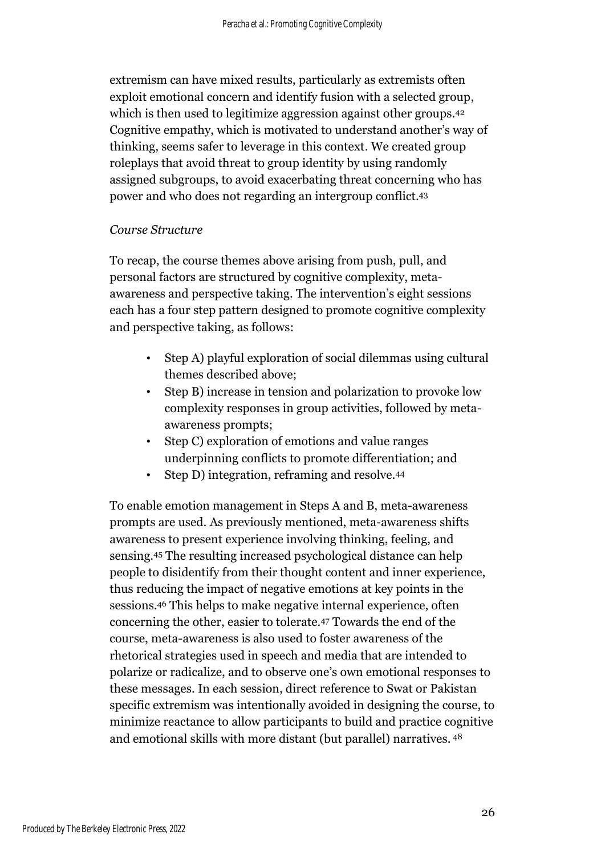extremism can have mixed results, particularly as extremists often exploit emotional concern and identify fusion with a selected group, which is then used to legitimize aggression against other groups.<sup>42</sup> Cognitive empathy, which is motivated to understand another's way of thinking, seems safer to leverage in this context. We created group roleplays that avoid threat to group identity by using randomly assigned subgroups, to avoid exacerbating threat concerning who has power and who does not regarding an intergroup conflict. 43

#### *Course Structure*

To recap, the course themes above arising from push, pull, and personal factors are structured by cognitive complexity, metaawareness and perspective taking. The intervention's eight sessions each has a four step pattern designed to promote cognitive complexity and perspective taking, as follows:

- Step A) playful exploration of social dilemmas using cultural themes described above;
- Step B) increase in tension and polarization to provoke low complexity responses in group activities, followed by metaawareness prompts;
- Step C) exploration of emotions and value ranges underpinning conflicts to promote differentiation; and
- Step D) integration, reframing and resolve.<sup>44</sup>

To enable emotion management in Steps A and B, meta-awareness prompts are used. As previously mentioned, meta-awareness shifts awareness to present experience involving thinking, feeling, and sensing.<sup>45</sup> The resulting increased psychological distance can help people to disidentify from their thought content and inner experience, thus reducing the impact of negative emotions at key points in the sessions.<sup>46</sup> This helps to make negative internal experience, often concerning the other, easier to tolerate.<sup>47</sup> Towards the end of the course, meta-awareness is also used to foster awareness of the rhetorical strategies used in speech and media that are intended to polarize or radicalize, and to observe one's own emotional responses to these messages. In each session, direct reference to Swat or Pakistan specific extremism was intentionally avoided in designing the course, to minimize reactance to allow participants to build and practice cognitive and emotional skills with more distant (but parallel) narratives. <sup>48</sup>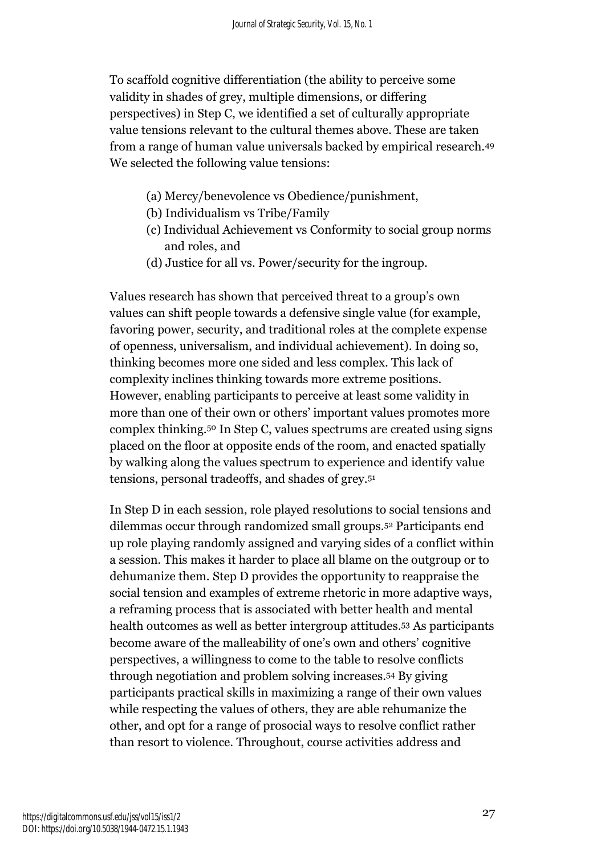To scaffold cognitive differentiation (the ability to perceive some validity in shades of grey, multiple dimensions, or differing perspectives) in Step C, we identified a set of culturally appropriate value tensions relevant to the cultural themes above. These are taken from a range of human value universals backed by empirical research.<sup>49</sup> We selected the following value tensions:

- (a) Mercy/benevolence vs Obedience/punishment,
- (b) Individualism vs Tribe/Family
- (c) Individual Achievement vs Conformity to social group norms and roles, and
- (d) Justice for all vs. Power/security for the ingroup.

Values research has shown that perceived threat to a group's own values can shift people towards a defensive single value (for example, favoring power, security, and traditional roles at the complete expense of openness, universalism, and individual achievement). In doing so, thinking becomes more one sided and less complex. This lack of complexity inclines thinking towards more extreme positions. However, enabling participants to perceive at least some validity in more than one of their own or others' important values promotes more complex thinking.<sup>50</sup> In Step C, values spectrums are created using signs placed on the floor at opposite ends of the room, and enacted spatially by walking along the values spectrum to experience and identify value tensions, personal tradeoffs, and shades of grey. 51

In Step D in each session, role played resolutions to social tensions and dilemmas occur through randomized small groups.<sup>52</sup> Participants end up role playing randomly assigned and varying sides of a conflict within a session. This makes it harder to place all blame on the outgroup or to dehumanize them. Step D provides the opportunity to reappraise the social tension and examples of extreme rhetoric in more adaptive ways, a reframing process that is associated with better health and mental health outcomes as well as better intergroup attitudes.<sup>53</sup> As participants become aware of the malleability of one's own and others' cognitive perspectives, a willingness to come to the table to resolve conflicts through negotiation and problem solving increases.<sup>54</sup> By giving participants practical skills in maximizing a range of their own values while respecting the values of others, they are able rehumanize the other, and opt for a range of prosocial ways to resolve conflict rather than resort to violence. Throughout, course activities address and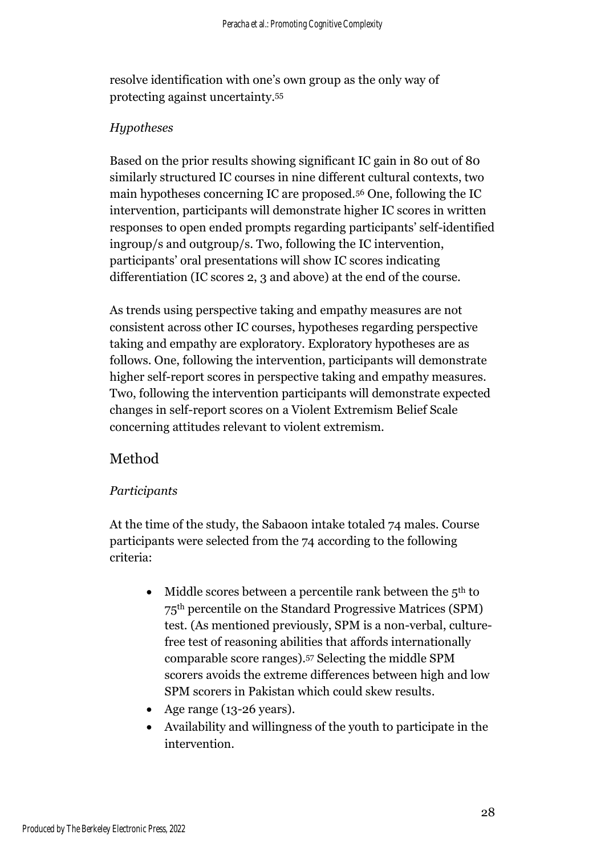resolve identification with one's own group as the only way of protecting against uncertainty.<sup>55</sup>

#### *Hypotheses*

Based on the prior results showing significant IC gain in 80 out of 80 similarly structured IC courses in nine different cultural contexts, two main hypotheses concerning IC are proposed.<sup>56</sup> One, following the IC intervention, participants will demonstrate higher IC scores in written responses to open ended prompts regarding participants' self-identified ingroup/s and outgroup/s. Two, following the IC intervention, participants' oral presentations will show IC scores indicating differentiation (IC scores 2, 3 and above) at the end of the course.

As trends using perspective taking and empathy measures are not consistent across other IC courses, hypotheses regarding perspective taking and empathy are exploratory. Exploratory hypotheses are as follows. One, following the intervention, participants will demonstrate higher self-report scores in perspective taking and empathy measures. Two, following the intervention participants will demonstrate expected changes in self-report scores on a Violent Extremism Belief Scale concerning attitudes relevant to violent extremism.

# Method

#### *Participants*

At the time of the study, the Sabaoon intake totaled 74 males. Course participants were selected from the 74 according to the following criteria:

- Middle scores between a percentile rank between the  $5<sup>th</sup>$  to 75th percentile on the Standard Progressive Matrices (SPM) test. (As mentioned previously, SPM is a non-verbal, culturefree test of reasoning abilities that affords internationally comparable score ranges). <sup>57</sup> Selecting the middle SPM scorers avoids the extreme differences between high and low SPM scorers in Pakistan which could skew results.
- Age range (13-26 years).
- Availability and willingness of the youth to participate in the intervention.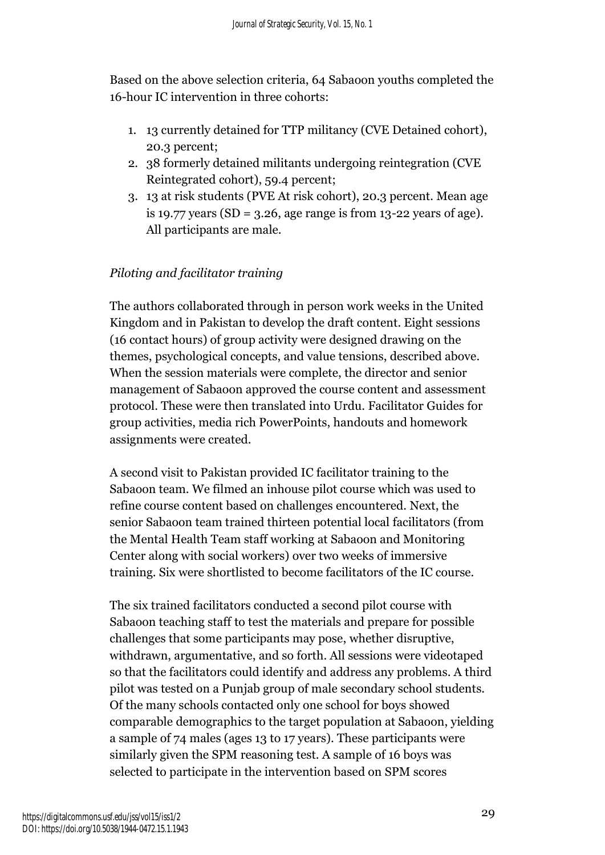Based on the above selection criteria, 64 Sabaoon youths completed the 16-hour IC intervention in three cohorts:

- 1. 13 currently detained for TTP militancy (CVE Detained cohort), 20.3 percent;
- 2. 38 formerly detained militants undergoing reintegration (CVE Reintegrated cohort), 59.4 percent;
- 3. 13 at risk students (PVE At risk cohort), 20.3 percent. Mean age is 19.77 years  $(SD = 3.26$ , age range is from 13-22 years of age). All participants are male.

# *Piloting and facilitator training*

The authors collaborated through in person work weeks in the United Kingdom and in Pakistan to develop the draft content. Eight sessions (16 contact hours) of group activity were designed drawing on the themes, psychological concepts, and value tensions, described above. When the session materials were complete, the director and senior management of Sabaoon approved the course content and assessment protocol. These were then translated into Urdu. Facilitator Guides for group activities, media rich PowerPoints, handouts and homework assignments were created.

A second visit to Pakistan provided IC facilitator training to the Sabaoon team. We filmed an inhouse pilot course which was used to refine course content based on challenges encountered. Next, the senior Sabaoon team trained thirteen potential local facilitators (from the Mental Health Team staff working at Sabaoon and Monitoring Center along with social workers) over two weeks of immersive training. Six were shortlisted to become facilitators of the IC course.

The six trained facilitators conducted a second pilot course with Sabaoon teaching staff to test the materials and prepare for possible challenges that some participants may pose, whether disruptive, withdrawn, argumentative, and so forth. All sessions were videotaped so that the facilitators could identify and address any problems. A third pilot was tested on a Punjab group of male secondary school students. Of the many schools contacted only one school for boys showed comparable demographics to the target population at Sabaoon, yielding a sample of 74 males (ages 13 to 17 years). These participants were similarly given the SPM reasoning test. A sample of 16 boys was selected to participate in the intervention based on SPM scores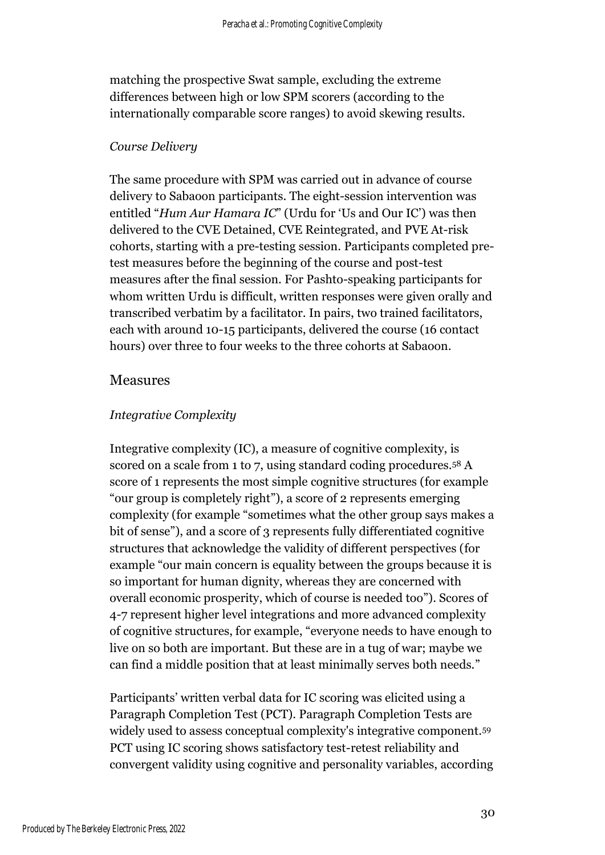matching the prospective Swat sample, excluding the extreme differences between high or low SPM scorers (according to the internationally comparable score ranges) to avoid skewing results.

#### *Course Delivery*

The same procedure with SPM was carried out in advance of course delivery to Sabaoon participants. The eight-session intervention was entitled "*Hum Aur Hamara IC*" (Urdu for 'Us and Our IC') was then delivered to the CVE Detained, CVE Reintegrated, and PVE At-risk cohorts, starting with a pre-testing session. Participants completed pretest measures before the beginning of the course and post-test measures after the final session. For Pashto-speaking participants for whom written Urdu is difficult, written responses were given orally and transcribed verbatim by a facilitator. In pairs, two trained facilitators, each with around 10-15 participants, delivered the course (16 contact hours) over three to four weeks to the three cohorts at Sabaoon.

#### Measures

#### *Integrative Complexity*

Integrative complexity (IC), a measure of cognitive complexity, is scored on a scale from 1 to 7, using standard coding procedures.<sup>58</sup> A score of 1 represents the most simple cognitive structures (for example "our group is completely right"), a score of 2 represents emerging complexity (for example "sometimes what the other group says makes a bit of sense"), and a score of 3 represents fully differentiated cognitive structures that acknowledge the validity of different perspectives (for example "our main concern is equality between the groups because it is so important for human dignity, whereas they are concerned with overall economic prosperity, which of course is needed too"). Scores of 4-7 represent higher level integrations and more advanced complexity of cognitive structures, for example, "everyone needs to have enough to live on so both are important. But these are in a tug of war; maybe we can find a middle position that at least minimally serves both needs."

Participants' written verbal data for IC scoring was elicited using a Paragraph Completion Test (PCT). Paragraph Completion Tests are widely used to assess conceptual complexity's integrative component.<sup>59</sup> PCT using IC scoring shows satisfactory test-retest reliability and convergent validity using cognitive and personality variables, according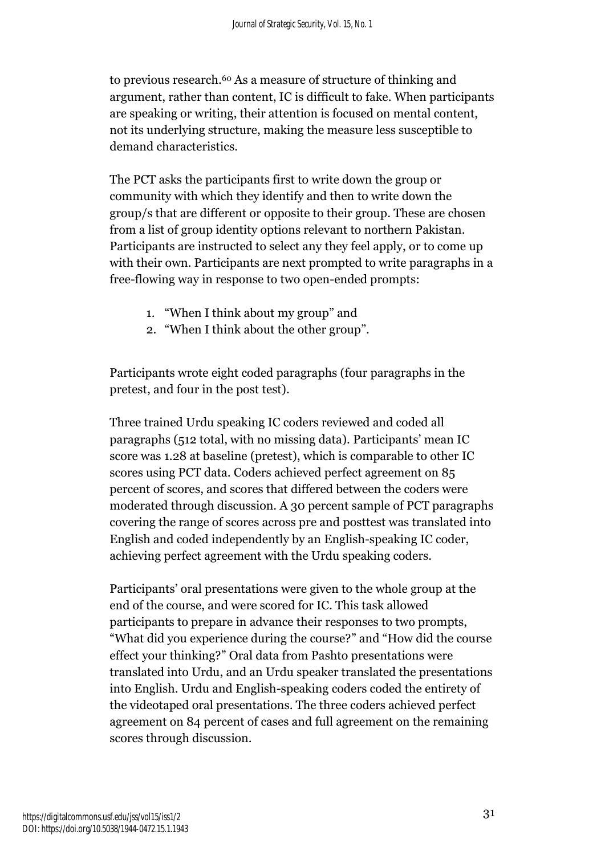to previous research. <sup>60</sup> As a measure of structure of thinking and argument, rather than content, IC is difficult to fake. When participants are speaking or writing, their attention is focused on mental content, not its underlying structure, making the measure less susceptible to demand characteristics.

The PCT asks the participants first to write down the group or community with which they identify and then to write down the group/s that are different or opposite to their group. These are chosen from a list of group identity options relevant to northern Pakistan. Participants are instructed to select any they feel apply, or to come up with their own. Participants are next prompted to write paragraphs in a free-flowing way in response to two open-ended prompts:

- 1. "When I think about my group" and
- 2. "When I think about the other group".

Participants wrote eight coded paragraphs (four paragraphs in the pretest, and four in the post test).

Three trained Urdu speaking IC coders reviewed and coded all paragraphs (512 total, with no missing data). Participants' mean IC score was 1.28 at baseline (pretest), which is comparable to other IC scores using PCT data. Coders achieved perfect agreement on 85 percent of scores, and scores that differed between the coders were moderated through discussion. A 30 percent sample of PCT paragraphs covering the range of scores across pre and posttest was translated into English and coded independently by an English-speaking IC coder, achieving perfect agreement with the Urdu speaking coders.

Participants' oral presentations were given to the whole group at the end of the course, and were scored for IC. This task allowed participants to prepare in advance their responses to two prompts, "What did you experience during the course?" and "How did the course effect your thinking?" Oral data from Pashto presentations were translated into Urdu, and an Urdu speaker translated the presentations into English. Urdu and English-speaking coders coded the entirety of the videotaped oral presentations. The three coders achieved perfect agreement on 84 percent of cases and full agreement on the remaining scores through discussion.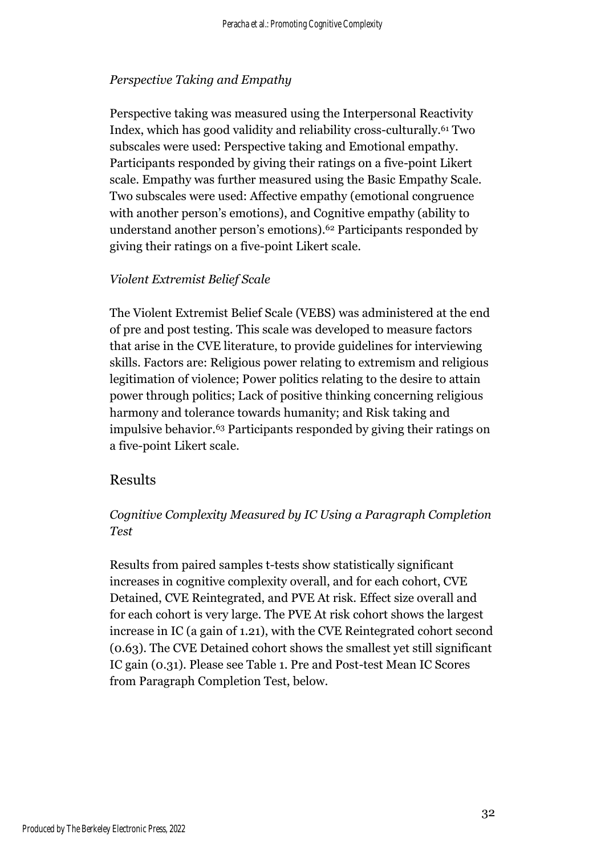## *Perspective Taking and Empathy*

Perspective taking was measured using the Interpersonal Reactivity Index, which has good validity and reliability cross-culturally.<sup>61</sup> Two subscales were used: Perspective taking and Emotional empathy. Participants responded by giving their ratings on a five-point Likert scale. Empathy was further measured using the Basic Empathy Scale. Two subscales were used: Affective empathy (emotional congruence with another person's emotions), and Cognitive empathy (ability to understand another person's emotions).<sup>62</sup> Participants responded by giving their ratings on a five-point Likert scale.

## *Violent Extremist Belief Scale*

The Violent Extremist Belief Scale (VEBS) was administered at the end of pre and post testing. This scale was developed to measure factors that arise in the CVE literature, to provide guidelines for interviewing skills. Factors are: Religious power relating to extremism and religious legitimation of violence; Power politics relating to the desire to attain power through politics; Lack of positive thinking concerning religious harmony and tolerance towards humanity; and Risk taking and impulsive behavior. <sup>63</sup> Participants responded by giving their ratings on a five-point Likert scale.

## Results

# *Cognitive Complexity Measured by IC Using a Paragraph Completion Test*

Results from paired samples t-tests show statistically significant increases in cognitive complexity overall, and for each cohort, CVE Detained, CVE Reintegrated, and PVE At risk. Effect size overall and for each cohort is very large. The PVE At risk cohort shows the largest increase in IC (a gain of 1.21), with the CVE Reintegrated cohort second (0.63). The CVE Detained cohort shows the smallest yet still significant IC gain (0.31). Please see Table 1. Pre and Post-test Mean IC Scores from Paragraph Completion Test, below.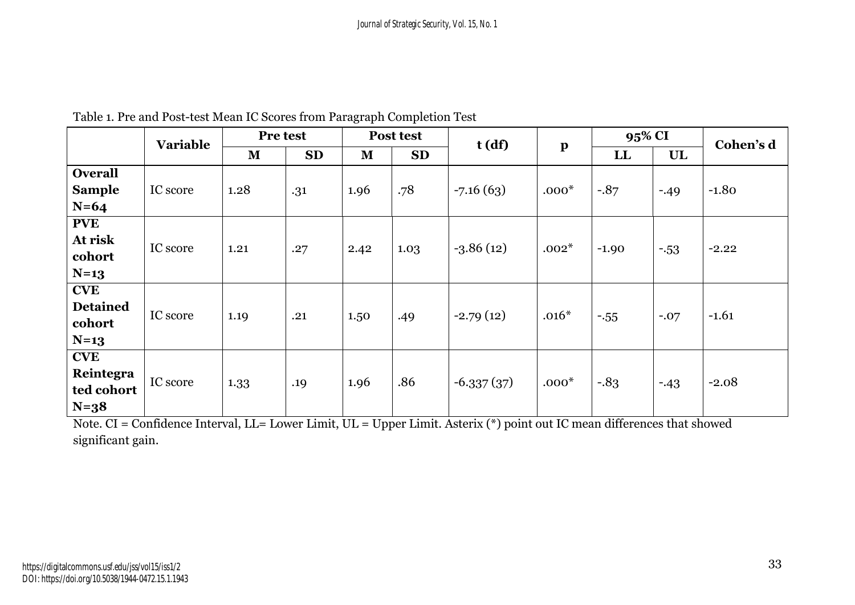|                 | Pre test        |              |           | Post test    |           |              |              | 95% CI  |        |           |
|-----------------|-----------------|--------------|-----------|--------------|-----------|--------------|--------------|---------|--------|-----------|
|                 | <b>Variable</b> |              |           |              |           | t(df)        | $\mathbf{p}$ |         |        | Cohen's d |
|                 |                 | $\mathbf{M}$ | <b>SD</b> | $\mathbf{M}$ | <b>SD</b> |              |              | LL      | UL     |           |
| <b>Overall</b>  |                 |              |           |              |           |              |              |         |        |           |
| <b>Sample</b>   | IC score        | 1.28         | .31       | 1.96         | .78       | $-7.16(63)$  | $.000*$      | $-0.87$ | $-49$  | $-1.80$   |
| $N=64$          |                 |              |           |              |           |              |              |         |        |           |
| <b>PVE</b>      |                 |              |           |              |           |              |              |         |        |           |
| At risk         | IC score        | 1.21         |           |              |           | $-3.86(12)$  | $.002*$      |         |        | $-2.22$   |
| cohort          |                 |              | .27       | 2.42         | 1.03      |              |              | $-1.90$ | $-53$  |           |
| $N=13$          |                 |              |           |              |           |              |              |         |        |           |
| <b>CVE</b>      |                 |              |           |              |           |              |              |         |        |           |
| <b>Detained</b> | IC score        |              |           |              |           | $-2.79(12)$  | $.016*$      |         |        | $-1.61$   |
| cohort          |                 | 1.19         | .21       | 1.50         | .49       |              |              | $-555$  | $-.07$ |           |
| $N=13$          |                 |              |           |              |           |              |              |         |        |           |
| <b>CVE</b>      |                 |              |           |              |           |              |              |         |        |           |
| Reintegra       | IC score        |              |           |              | .86       |              | $.000*$      | $-0.83$ |        | $-2.08$   |
| ted cohort      |                 | 1.33         | .19       | 1.96         |           | $-6.337(37)$ |              |         | $-43$  |           |
| $N=38$          |                 |              |           |              |           |              |              |         |        |           |

Table 1. Pre and Post-test Mean IC Scores from Paragraph Completion Test

Note. CI = Confidence Interval, LL= Lower Limit, UL = Upper Limit. Asterix (\*) point out IC mean differences that showed significant gain.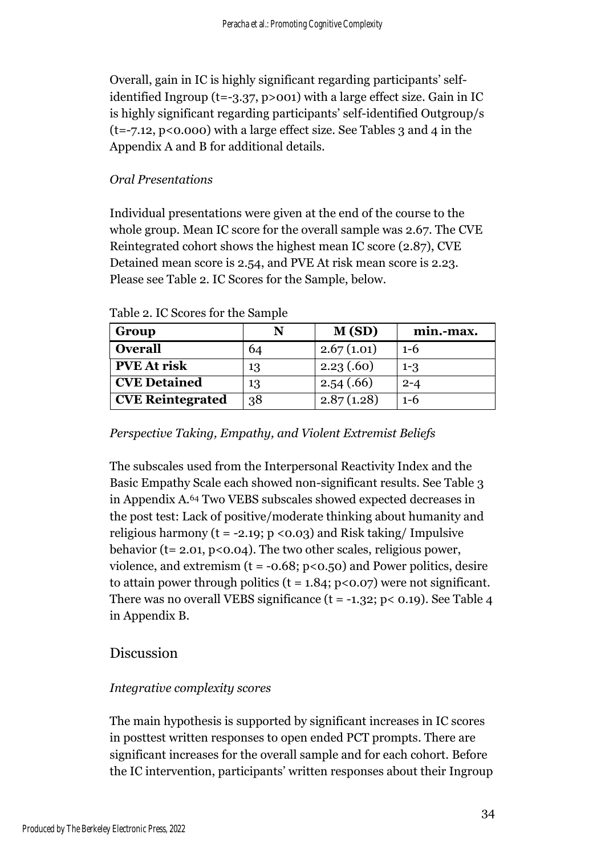Overall, gain in IC is highly significant regarding participants' selfidentified Ingroup (t=-3.37, p>001) with a large effect size. Gain in IC is highly significant regarding participants' self-identified Outgroup/s  $(t=-7.12, p<0.000)$  with a large effect size. See Tables 3 and 4 in the Appendix A and B for additional details.

#### *Oral Presentations*

Individual presentations were given at the end of the course to the whole group. Mean IC score for the overall sample was 2.67. The CVE Reintegrated cohort shows the highest mean IC score (2.87), CVE Detained mean score is 2.54, and PVE At risk mean score is 2.23. Please see Table 2. IC Scores for the Sample, below.

| Group                   |    | M(SD)      | min.-max. |
|-------------------------|----|------------|-----------|
| <b>Overall</b>          | 64 | 2.67(1.01) | $1-6$     |
| <b>PVE At risk</b>      | 13 | 2.23(60)   | $1 - 3$   |
| <b>CVE Detained</b>     | 13 | 2.54(.66)  | $2 - 4$   |
| <b>CVE Reintegrated</b> | 38 | 2.87(1.28) | $1-6$     |

Table 2. IC Scores for the Sample

#### *Perspective Taking, Empathy, and Violent Extremist Beliefs*

The subscales used from the Interpersonal Reactivity Index and the Basic Empathy Scale each showed non-significant results. See Table 3 in Appendix A. <sup>64</sup> Two VEBS subscales showed expected decreases in the post test: Lack of positive/moderate thinking about humanity and religious harmony ( $t = -2.19$ ;  $p < 0.03$ ) and Risk taking/ Impulsive behavior ( $t = 2.01$ ,  $p < 0.04$ ). The two other scales, religious power, violence, and extremism  $(t = -0.68; p < 0.50)$  and Power politics, desire to attain power through politics ( $t = 1.84$ ;  $p < 0.07$ ) were not significant. There was no overall VEBS significance  $(t = -1.32; p < 0.19)$ . See Table 4 in Appendix B.

## Discussion

#### *Integrative complexity scores*

The main hypothesis is supported by significant increases in IC scores in posttest written responses to open ended PCT prompts. There are significant increases for the overall sample and for each cohort. Before the IC intervention, participants' written responses about their Ingroup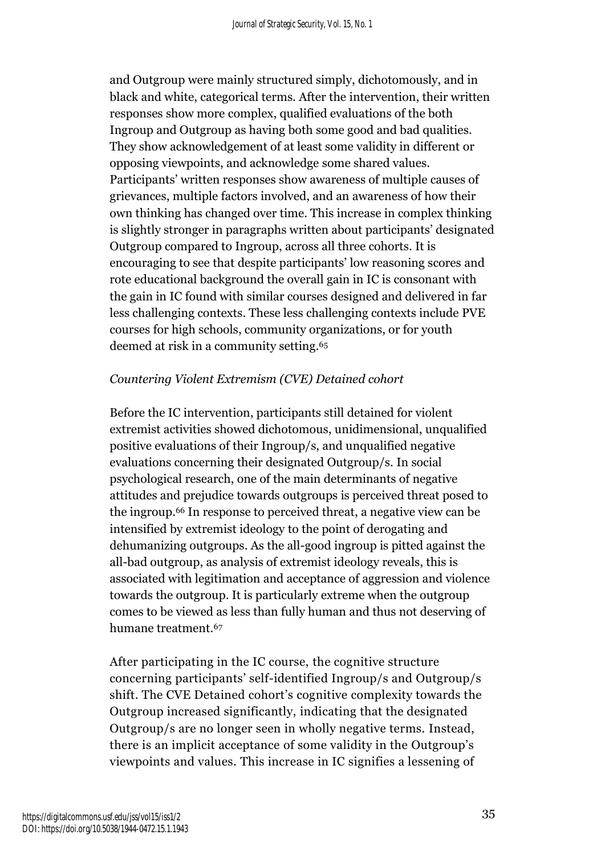and Outgroup were mainly structured simply, dichotomously, and in black and white, categorical terms. After the intervention, their written responses show more complex, qualified evaluations of the both Ingroup and Outgroup as having both some good and bad qualities. They show acknowledgement of at least some validity in different or opposing viewpoints, and acknowledge some shared values. Participants' written responses show awareness of multiple causes of grievances, multiple factors involved, and an awareness of how their own thinking has changed over time. This increase in complex thinking is slightly stronger in paragraphs written about participants' designated Outgroup compared to Ingroup, across all three cohorts. It is encouraging to see that despite participants' low reasoning scores and rote educational background the overall gain in IC is consonant with the gain in IC found with similar courses designed and delivered in far less challenging contexts. These less challenging contexts include PVE courses for high schools, community organizations, or for youth deemed at risk in a community setting. 65

#### *Countering Violent Extremism (CVE) Detained cohort*

Before the IC intervention, participants still detained for violent extremist activities showed dichotomous, unidimensional, unqualified positive evaluations of their Ingroup/s, and unqualified negative evaluations concerning their designated Outgroup/s. In social psychological research, one of the main determinants of negative attitudes and prejudice towards outgroups is perceived threat posed to the ingroup.<sup>66</sup> In response to perceived threat, a negative view can be intensified by extremist ideology to the point of derogating and dehumanizing outgroups. As the all-good ingroup is pitted against the all-bad outgroup, as analysis of extremist ideology reveals, this is associated with legitimation and acceptance of aggression and violence towards the outgroup. It is particularly extreme when the outgroup comes to be viewed as less than fully human and thus not deserving of humane treatment. 67

After participating in the IC course, the cognitive structure concerning participants' self-identified Ingroup/s and Outgroup/s shift. The CVE Detained cohort's cognitive complexity towards the Outgroup increased significantly, indicating that the designated Outgroup/s are no longer seen in wholly negative terms. Instead, there is an implicit acceptance of some validity in the Outgroup's viewpoints and values. This increase in IC signifies a lessening of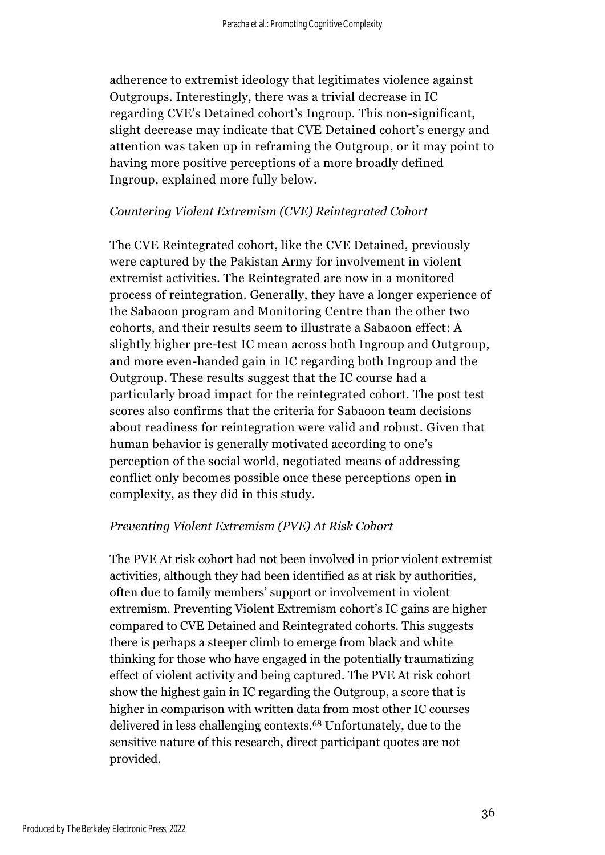adherence to extremist ideology that legitimates violence against Outgroups. Interestingly, there was a trivial decrease in IC regarding CVE's Detained cohort's Ingroup. This non-significant, slight decrease may indicate that CVE Detained cohort's energy and attention was taken up in reframing the Outgroup, or it may point to having more positive perceptions of a more broadly defined Ingroup, explained more fully below.

#### *Countering Violent Extremism (CVE) Reintegrated Cohort*

The CVE Reintegrated cohort, like the CVE Detained, previously were captured by the Pakistan Army for involvement in violent extremist activities. The Reintegrated are now in a monitored process of reintegration. Generally, they have a longer experience of the Sabaoon program and Monitoring Centre than the other two cohorts, and their results seem to illustrate a Sabaoon effect: A slightly higher pre-test IC mean across both Ingroup and Outgroup, and more even-handed gain in IC regarding both Ingroup and the Outgroup. These results suggest that the IC course had a particularly broad impact for the reintegrated cohort. The post test scores also confirms that the criteria for Sabaoon team decisions about readiness for reintegration were valid and robust. Given that human behavior is generally motivated according to one's perception of the social world, negotiated means of addressing conflict only becomes possible once these perceptions open in complexity, as they did in this study.

#### *Preventing Violent Extremism (PVE) At Risk Cohort*

The PVE At risk cohort had not been involved in prior violent extremist activities, although they had been identified as at risk by authorities, often due to family members' support or involvement in violent extremism. Preventing Violent Extremism cohort's IC gains are higher compared to CVE Detained and Reintegrated cohorts. This suggests there is perhaps a steeper climb to emerge from black and white thinking for those who have engaged in the potentially traumatizing effect of violent activity and being captured. The PVE At risk cohort show the highest gain in IC regarding the Outgroup, a score that is higher in comparison with written data from most other IC courses delivered in less challenging contexts.<sup>68</sup> Unfortunately, due to the sensitive nature of this research, direct participant quotes are not provided.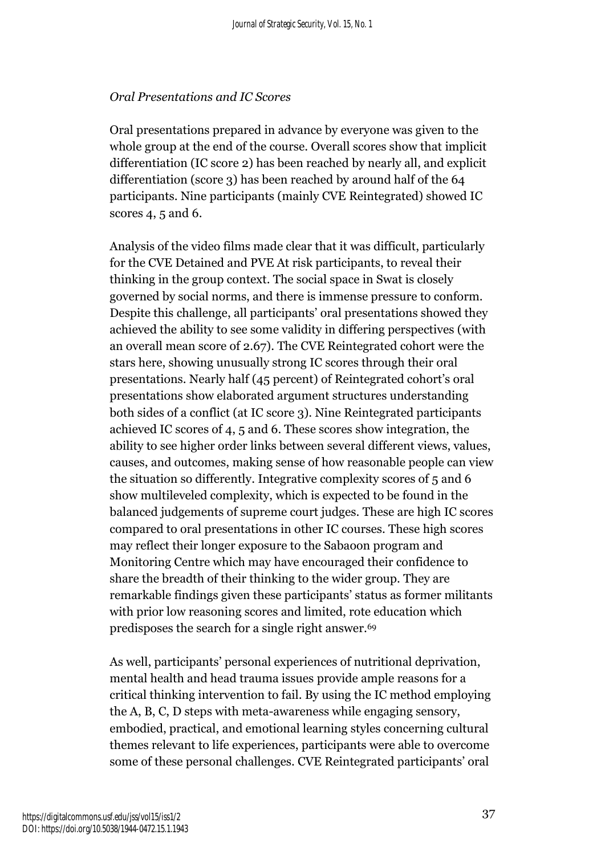#### *Oral Presentations and IC Scores*

Oral presentations prepared in advance by everyone was given to the whole group at the end of the course. Overall scores show that implicit differentiation (IC score 2) has been reached by nearly all, and explicit differentiation (score 3) has been reached by around half of the 64 participants. Nine participants (mainly CVE Reintegrated) showed IC scores 4, 5 and 6.

Analysis of the video films made clear that it was difficult, particularly for the CVE Detained and PVE At risk participants, to reveal their thinking in the group context. The social space in Swat is closely governed by social norms, and there is immense pressure to conform. Despite this challenge, all participants' oral presentations showed they achieved the ability to see some validity in differing perspectives (with an overall mean score of 2.67). The CVE Reintegrated cohort were the stars here, showing unusually strong IC scores through their oral presentations. Nearly half (45 percent) of Reintegrated cohort's oral presentations show elaborated argument structures understanding both sides of a conflict (at IC score 3). Nine Reintegrated participants achieved IC scores of 4, 5 and 6. These scores show integration, the ability to see higher order links between several different views, values, causes, and outcomes, making sense of how reasonable people can view the situation so differently. Integrative complexity scores of 5 and 6 show multileveled complexity, which is expected to be found in the balanced judgements of supreme court judges. These are high IC scores compared to oral presentations in other IC courses. These high scores may reflect their longer exposure to the Sabaoon program and Monitoring Centre which may have encouraged their confidence to share the breadth of their thinking to the wider group. They are remarkable findings given these participants' status as former militants with prior low reasoning scores and limited, rote education which predisposes the search for a single right answer.<sup>69</sup>

As well, participants' personal experiences of nutritional deprivation, mental health and head trauma issues provide ample reasons for a critical thinking intervention to fail. By using the IC method employing the A, B, C, D steps with meta-awareness while engaging sensory, embodied, practical, and emotional learning styles concerning cultural themes relevant to life experiences, participants were able to overcome some of these personal challenges. CVE Reintegrated participants' oral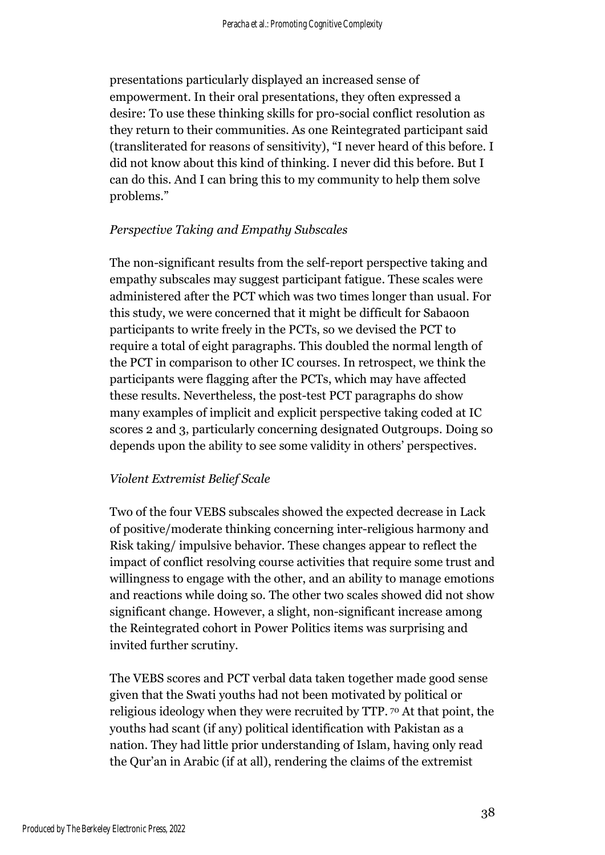presentations particularly displayed an increased sense of empowerment. In their oral presentations, they often expressed a desire: To use these thinking skills for pro-social conflict resolution as they return to their communities. As one Reintegrated participant said (transliterated for reasons of sensitivity), "I never heard of this before. I did not know about this kind of thinking. I never did this before. But I can do this. And I can bring this to my community to help them solve problems."

## *Perspective Taking and Empathy Subscales*

The non-significant results from the self-report perspective taking and empathy subscales may suggest participant fatigue. These scales were administered after the PCT which was two times longer than usual. For this study, we were concerned that it might be difficult for Sabaoon participants to write freely in the PCTs, so we devised the PCT to require a total of eight paragraphs. This doubled the normal length of the PCT in comparison to other IC courses. In retrospect, we think the participants were flagging after the PCTs, which may have affected these results. Nevertheless, the post-test PCT paragraphs do show many examples of implicit and explicit perspective taking coded at IC scores 2 and 3, particularly concerning designated Outgroups. Doing so depends upon the ability to see some validity in others' perspectives.

## *Violent Extremist Belief Scale*

Two of the four VEBS subscales showed the expected decrease in Lack of positive/moderate thinking concerning inter-religious harmony and Risk taking/ impulsive behavior. These changes appear to reflect the impact of conflict resolving course activities that require some trust and willingness to engage with the other, and an ability to manage emotions and reactions while doing so. The other two scales showed did not show significant change. However, a slight, non-significant increase among the Reintegrated cohort in Power Politics items was surprising and invited further scrutiny.

The VEBS scores and PCT verbal data taken together made good sense given that the Swati youths had not been motivated by political or religious ideology when they were recruited by TTP. <sup>70</sup> At that point, the youths had scant (if any) political identification with Pakistan as a nation. They had little prior understanding of Islam, having only read the Qur'an in Arabic (if at all), rendering the claims of the extremist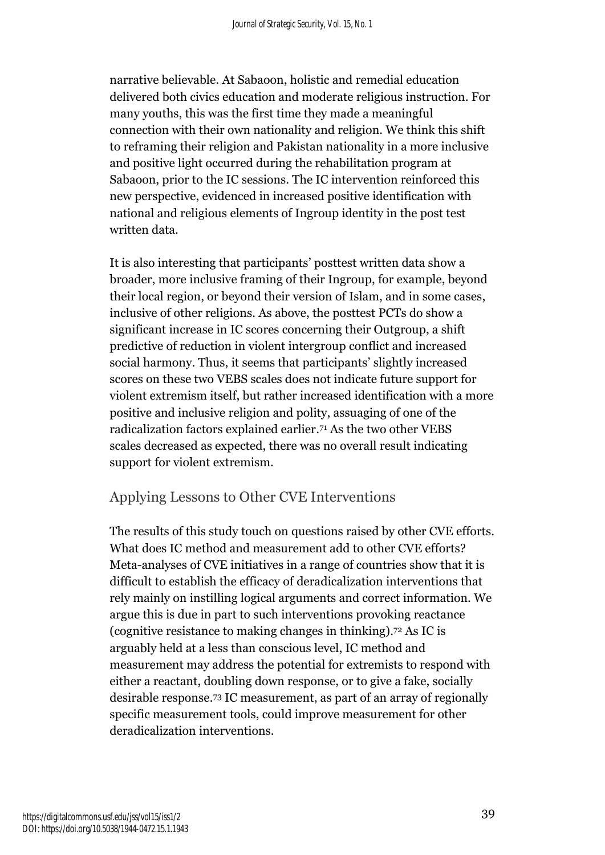narrative believable. At Sabaoon, holistic and remedial education delivered both civics education and moderate religious instruction. For many youths, this was the first time they made a meaningful connection with their own nationality and religion. We think this shift to reframing their religion and Pakistan nationality in a more inclusive and positive light occurred during the rehabilitation program at Sabaoon, prior to the IC sessions. The IC intervention reinforced this new perspective, evidenced in increased positive identification with national and religious elements of Ingroup identity in the post test written data.

It is also interesting that participants' posttest written data show a broader, more inclusive framing of their Ingroup, for example, beyond their local region, or beyond their version of Islam, and in some cases, inclusive of other religions. As above, the posttest PCTs do show a significant increase in IC scores concerning their Outgroup, a shift predictive of reduction in violent intergroup conflict and increased social harmony. Thus, it seems that participants' slightly increased scores on these two VEBS scales does not indicate future support for violent extremism itself, but rather increased identification with a more positive and inclusive religion and polity, assuaging of one of the radicalization factors explained earlier. <sup>71</sup> As the two other VEBS scales decreased as expected, there was no overall result indicating support for violent extremism.

# Applying Lessons to Other CVE Interventions

The results of this study touch on questions raised by other CVE efforts. What does IC method and measurement add to other CVE efforts? Meta-analyses of CVE initiatives in a range of countries show that it is difficult to establish the efficacy of deradicalization interventions that rely mainly on instilling logical arguments and correct information. We argue this is due in part to such interventions provoking reactance (cognitive resistance to making changes in thinking). <sup>72</sup> As IC is arguably held at a less than conscious level, IC method and measurement may address the potential for extremists to respond with either a reactant, doubling down response, or to give a fake, socially desirable response. <sup>73</sup> IC measurement, as part of an array of regionally specific measurement tools, could improve measurement for other deradicalization interventions.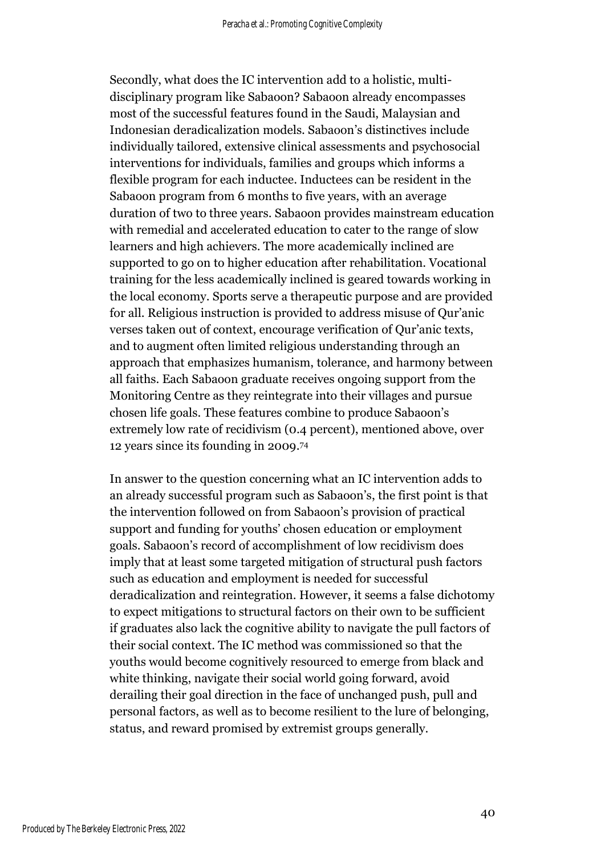Secondly, what does the IC intervention add to a holistic, multidisciplinary program like Sabaoon? Sabaoon already encompasses most of the successful features found in the Saudi, Malaysian and Indonesian deradicalization models. Sabaoon's distinctives include individually tailored, extensive clinical assessments and psychosocial interventions for individuals, families and groups which informs a flexible program for each inductee. Inductees can be resident in the Sabaoon program from 6 months to five years, with an average duration of two to three years. Sabaoon provides mainstream education with remedial and accelerated education to cater to the range of slow learners and high achievers. The more academically inclined are supported to go on to higher education after rehabilitation. Vocational training for the less academically inclined is geared towards working in the local economy. Sports serve a therapeutic purpose and are provided for all. Religious instruction is provided to address misuse of Qur'anic verses taken out of context, encourage verification of Qur'anic texts, and to augment often limited religious understanding through an approach that emphasizes humanism, tolerance, and harmony between all faiths. Each Sabaoon graduate receives ongoing support from the Monitoring Centre as they reintegrate into their villages and pursue chosen life goals. These features combine to produce Sabaoon's extremely low rate of recidivism (0.4 percent), mentioned above, over 12 years since its founding in 2009. 74

In answer to the question concerning what an IC intervention adds to an already successful program such as Sabaoon's, the first point is that the intervention followed on from Sabaoon's provision of practical support and funding for youths' chosen education or employment goals. Sabaoon's record of accomplishment of low recidivism does imply that at least some targeted mitigation of structural push factors such as education and employment is needed for successful deradicalization and reintegration. However, it seems a false dichotomy to expect mitigations to structural factors on their own to be sufficient if graduates also lack the cognitive ability to navigate the pull factors of their social context. The IC method was commissioned so that the youths would become cognitively resourced to emerge from black and white thinking, navigate their social world going forward, avoid derailing their goal direction in the face of unchanged push, pull and personal factors, as well as to become resilient to the lure of belonging, status, and reward promised by extremist groups generally.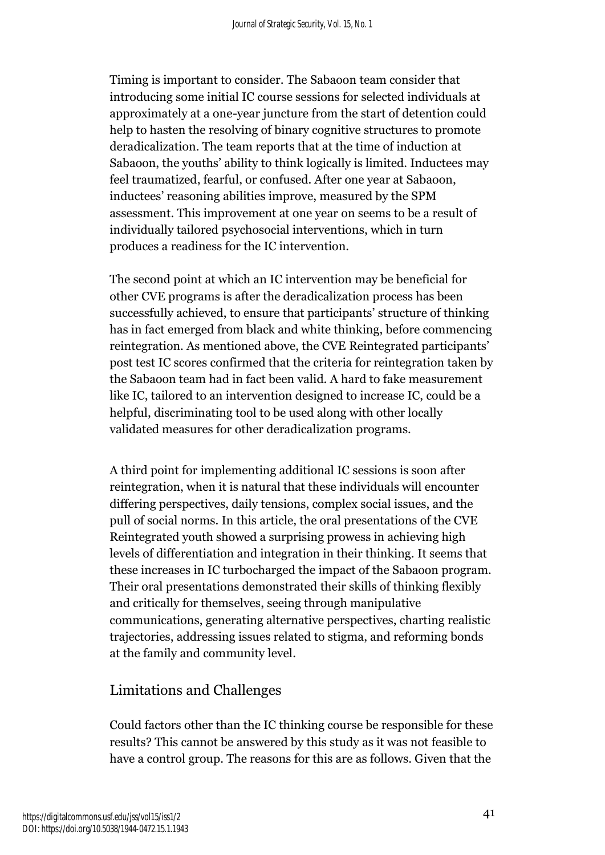Timing is important to consider. The Sabaoon team consider that introducing some initial IC course sessions for selected individuals at approximately at a one-year juncture from the start of detention could help to hasten the resolving of binary cognitive structures to promote deradicalization. The team reports that at the time of induction at Sabaoon, the youths' ability to think logically is limited. Inductees may feel traumatized, fearful, or confused. After one year at Sabaoon, inductees' reasoning abilities improve, measured by the SPM assessment. This improvement at one year on seems to be a result of individually tailored psychosocial interventions, which in turn produces a readiness for the IC intervention.

The second point at which an IC intervention may be beneficial for other CVE programs is after the deradicalization process has been successfully achieved, to ensure that participants' structure of thinking has in fact emerged from black and white thinking, before commencing reintegration. As mentioned above, the CVE Reintegrated participants' post test IC scores confirmed that the criteria for reintegration taken by the Sabaoon team had in fact been valid. A hard to fake measurement like IC, tailored to an intervention designed to increase IC, could be a helpful, discriminating tool to be used along with other locally validated measures for other deradicalization programs.

A third point for implementing additional IC sessions is soon after reintegration, when it is natural that these individuals will encounter differing perspectives, daily tensions, complex social issues, and the pull of social norms. In this article, the oral presentations of the CVE Reintegrated youth showed a surprising prowess in achieving high levels of differentiation and integration in their thinking. It seems that these increases in IC turbocharged the impact of the Sabaoon program. Their oral presentations demonstrated their skills of thinking flexibly and critically for themselves, seeing through manipulative communications, generating alternative perspectives, charting realistic trajectories, addressing issues related to stigma, and reforming bonds at the family and community level.

# Limitations and Challenges

Could factors other than the IC thinking course be responsible for these results? This cannot be answered by this study as it was not feasible to have a control group. The reasons for this are as follows. Given that the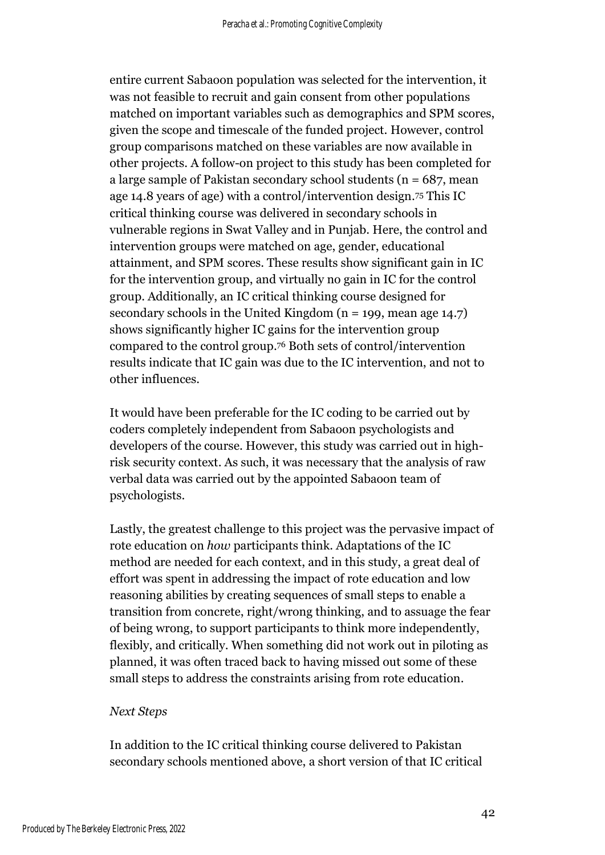entire current Sabaoon population was selected for the intervention, it was not feasible to recruit and gain consent from other populations matched on important variables such as demographics and SPM scores, given the scope and timescale of the funded project. However, control group comparisons matched on these variables are now available in other projects. A follow-on project to this study has been completed for a large sample of Pakistan secondary school students ( $n = 687$ , mean age 14.8 years of age) with a control/intervention design. <sup>75</sup> This IC critical thinking course was delivered in secondary schools in vulnerable regions in Swat Valley and in Punjab. Here, the control and intervention groups were matched on age, gender, educational attainment, and SPM scores. These results show significant gain in IC for the intervention group, and virtually no gain in IC for the control group. Additionally, an IC critical thinking course designed for secondary schools in the United Kingdom ( $n = 199$ , mean age 14.7) shows significantly higher IC gains for the intervention group compared to the control group. <sup>76</sup> Both sets of control/intervention results indicate that IC gain was due to the IC intervention, and not to other influences.

It would have been preferable for the IC coding to be carried out by coders completely independent from Sabaoon psychologists and developers of the course. However, this study was carried out in highrisk security context. As such, it was necessary that the analysis of raw verbal data was carried out by the appointed Sabaoon team of psychologists.

Lastly, the greatest challenge to this project was the pervasive impact of rote education on *how* participants think. Adaptations of the IC method are needed for each context, and in this study, a great deal of effort was spent in addressing the impact of rote education and low reasoning abilities by creating sequences of small steps to enable a transition from concrete, right/wrong thinking, and to assuage the fear of being wrong, to support participants to think more independently, flexibly, and critically. When something did not work out in piloting as planned, it was often traced back to having missed out some of these small steps to address the constraints arising from rote education.

#### *Next Steps*

In addition to the IC critical thinking course delivered to Pakistan secondary schools mentioned above, a short version of that IC critical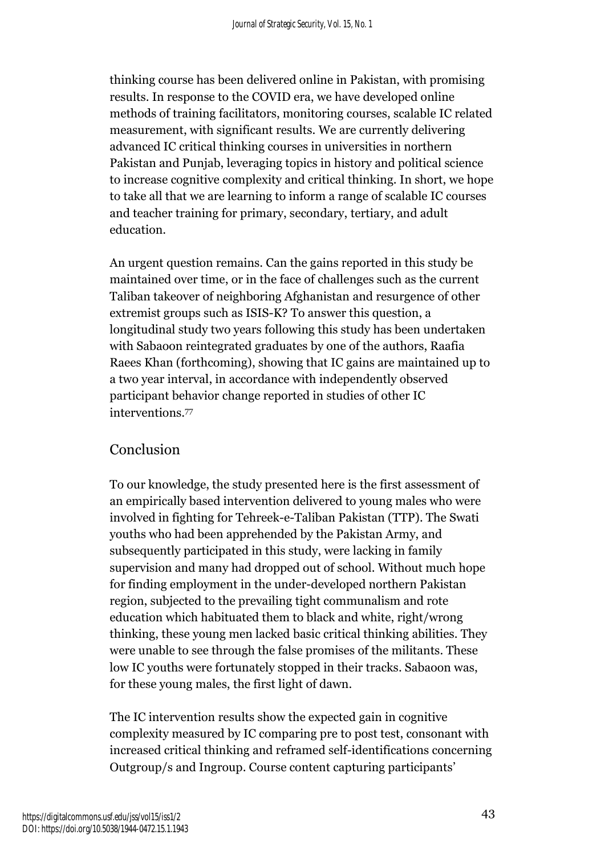thinking course has been delivered online in Pakistan, with promising results. In response to the COVID era, we have developed online methods of training facilitators, monitoring courses, scalable IC related measurement, with significant results. We are currently delivering advanced IC critical thinking courses in universities in northern Pakistan and Punjab, leveraging topics in history and political science to increase cognitive complexity and critical thinking. In short, we hope to take all that we are learning to inform a range of scalable IC courses and teacher training for primary, secondary, tertiary, and adult education.

An urgent question remains. Can the gains reported in this study be maintained over time, or in the face of challenges such as the current Taliban takeover of neighboring Afghanistan and resurgence of other extremist groups such as ISIS-K? To answer this question, a longitudinal study two years following this study has been undertaken with Sabaoon reintegrated graduates by one of the authors, Raafia Raees Khan (forthcoming), showing that IC gains are maintained up to a two year interval, in accordance with independently observed participant behavior change reported in studies of other IC interventions. 77

# Conclusion

To our knowledge, the study presented here is the first assessment of an empirically based intervention delivered to young males who were involved in fighting for Tehreek-e-Taliban Pakistan (TTP). The Swati youths who had been apprehended by the Pakistan Army, and subsequently participated in this study, were lacking in family supervision and many had dropped out of school. Without much hope for finding employment in the under-developed northern Pakistan region, subjected to the prevailing tight communalism and rote education which habituated them to black and white, right/wrong thinking, these young men lacked basic critical thinking abilities. They were unable to see through the false promises of the militants. These low IC youths were fortunately stopped in their tracks. Sabaoon was, for these young males, the first light of dawn.

The IC intervention results show the expected gain in cognitive complexity measured by IC comparing pre to post test, consonant with increased critical thinking and reframed self-identifications concerning Outgroup/s and Ingroup. Course content capturing participants'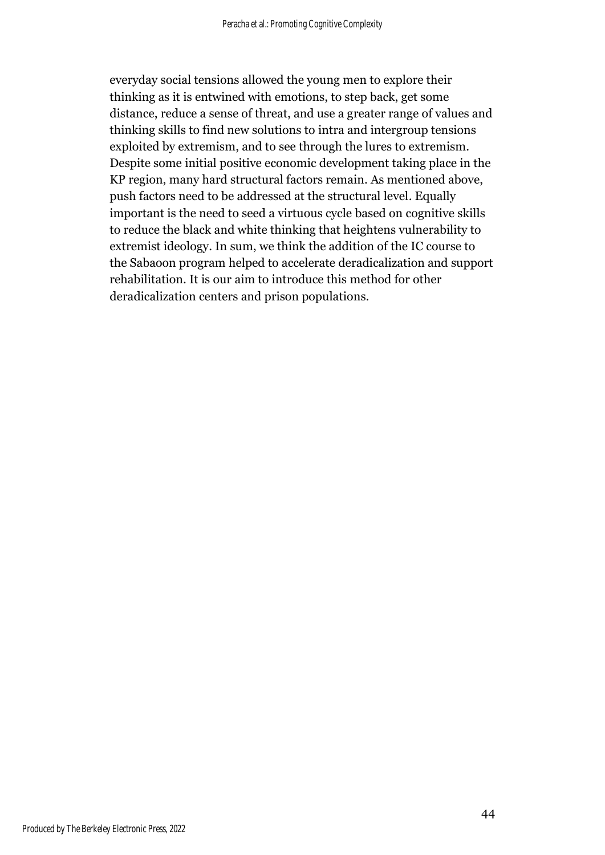everyday social tensions allowed the young men to explore their thinking as it is entwined with emotions, to step back, get some distance, reduce a sense of threat, and use a greater range of values and thinking skills to find new solutions to intra and intergroup tensions exploited by extremism, and to see through the lures to extremism. Despite some initial positive economic development taking place in the KP region, many hard structural factors remain. As mentioned above, push factors need to be addressed at the structural level. Equally important is the need to seed a virtuous cycle based on cognitive skills to reduce the black and white thinking that heightens vulnerability to extremist ideology. In sum, we think the addition of the IC course to the Sabaoon program helped to accelerate deradicalization and support rehabilitation. It is our aim to introduce this method for other deradicalization centers and prison populations.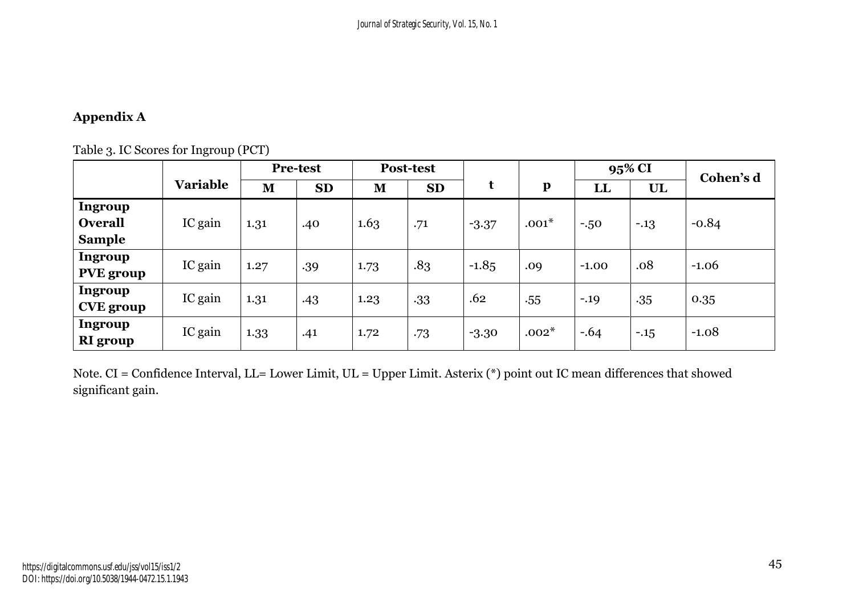# **Appendix A**

|                            |                 | <b>Pre-test</b> |           |      | Post-test |         |              |              | 95% CI | Cohen's d |
|----------------------------|-----------------|-----------------|-----------|------|-----------|---------|--------------|--------------|--------|-----------|
|                            | <b>Variable</b> | M               | <b>SD</b> | M    | <b>SD</b> | t       | $\mathbf{p}$ | $\mathbf{L}$ | UL     |           |
| Ingroup                    |                 |                 |           |      |           |         |              |              |        |           |
| <b>Overall</b>             | IC gain         | 1.31            | .40       | 1.63 | .71       | $-3.37$ | $.001*$      | $-0.50$      | $-13$  | $-0.84$   |
| <b>Sample</b>              |                 |                 |           |      |           |         |              |              |        |           |
| Ingroup                    | IC gain         | 1.27            | .39       | 1.73 | .83       | $-1.85$ | .09          | $-1.00$      | .08    | $-1.06$   |
| <b>PVE</b> group           |                 |                 |           |      |           |         |              |              |        |           |
| <b>Ingroup</b>             | IC gain         | 1.31            | .43       | 1.23 | .33       | .62     | .55          | $-.19$       | .35    | 0.35      |
| <b>CVE</b> group           |                 |                 |           |      |           |         |              |              |        |           |
| Ingroup<br><b>RI</b> group | IC gain         | 1.33            | .41       | 1.72 | .73       | $-3.30$ | $.002*$      | $-.64$       | $-15$  | $-1.08$   |

Note. CI = Confidence Interval, LL= Lower Limit, UL = Upper Limit. Asterix (\*) point out IC mean differences that showed significant gain.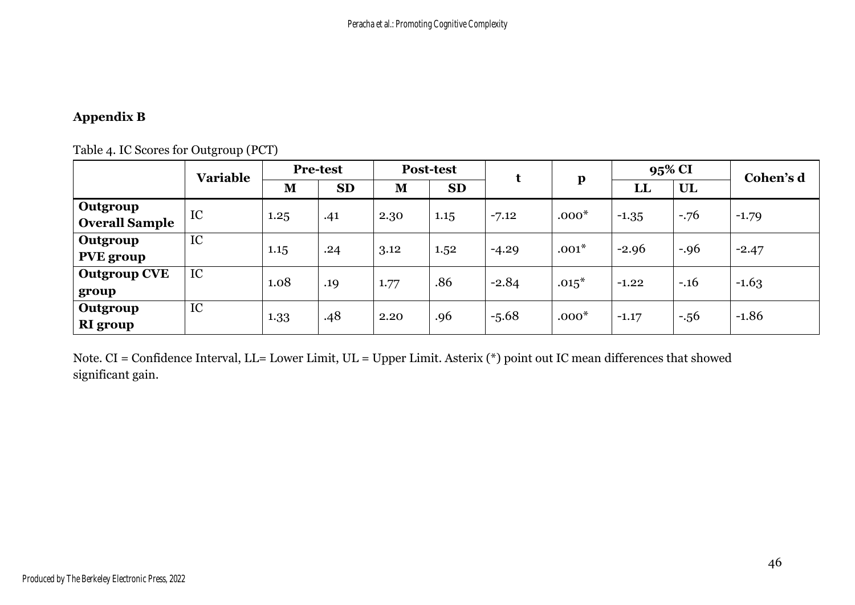# **Appendix B**

# Table 4. IC Scores for Outgroup (PCT)

|                                   | <b>Variable</b> | <b>Pre-test</b> |           | <b>Post-test</b> |           |         |              | 95% CI       |        | Cohen's d |
|-----------------------------------|-----------------|-----------------|-----------|------------------|-----------|---------|--------------|--------------|--------|-----------|
|                                   |                 | M               | <b>SD</b> | M                | <b>SD</b> |         | $\mathbf{p}$ | $\mathbf{L}$ | UL     |           |
| Outgroup<br><b>Overall Sample</b> | IC              | 1.25            | .41       | 2.30             | 1.15      | $-7.12$ | $.000*$      | $-1.35$      | $-76$  | $-1.79$   |
| Outgroup<br><b>PVE</b> group      | IC              | 1.15            | .24       | 3.12             | 1.52      | $-4.29$ | $.001*$      | $-2.96$      | $-.96$ | $-2.47$   |
| <b>Outgroup CVE</b><br>group      | IC              | 1.08            | .19       | 1.77             | .86       | $-2.84$ | $.015*$      | $-1.22$      | $-.16$ | $-1.63$   |
| Outgroup<br><b>RI</b> group       | IC              | 1.33            | .48       | 2.20             | .96       | $-5.68$ | $.000*$      | $-1.17$      | $-.56$ | $-1.86$   |

Note. CI = Confidence Interval, LL= Lower Limit, UL = Upper Limit. Asterix (\*) point out IC mean differences that showed significant gain.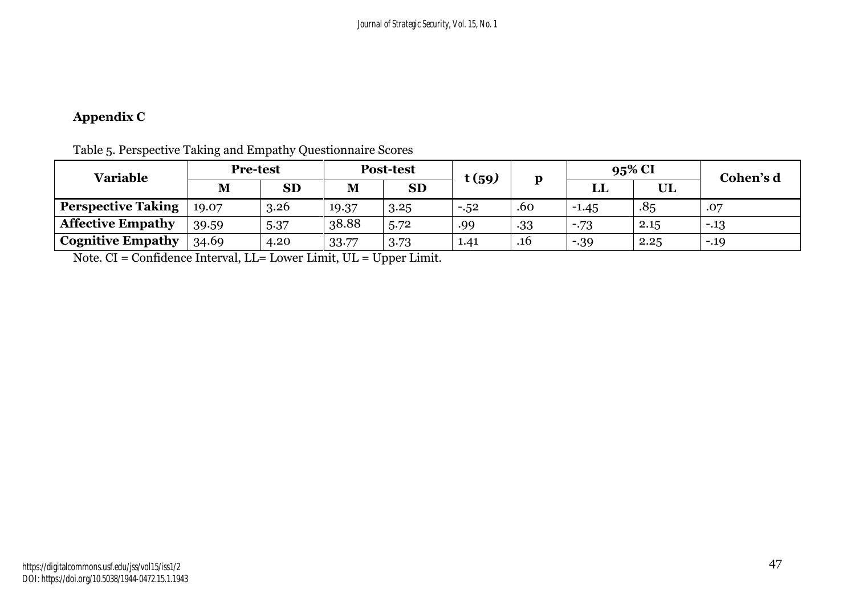# **Appendix C**

| <b>Variable</b>           | <b>Pre-test</b> |           | <b>Post-test</b> |           | t(59)   |              | 95% CI  |      | Cohen's d |
|---------------------------|-----------------|-----------|------------------|-----------|---------|--------------|---------|------|-----------|
|                           | M               | <b>SD</b> | M                | <b>SD</b> |         | $\mathbf{p}$ | பட      | UL   |           |
| <b>Perspective Taking</b> | 19.07           | 3.26      | 19.37            | 3.25      | $-0.52$ | .60          | $-1.45$ | .85  | .07       |
| <b>Affective Empathy</b>  | 39.59           | 5.37      | 38.88            | 5.72      | .99     | .33          | $-73$   | 2.15 | $-13$     |
| <b>Cognitive Empathy</b>  | 34.69           | 4.20      | 33.77            | 3.73      | 1.41    | .16          | $-39$   | 2.25 | $-.19$    |

Table 5. Perspective Taking and Empathy Questionnaire Scores

Note. CI = Confidence Interval, LL= Lower Limit, UL = Upper Limit.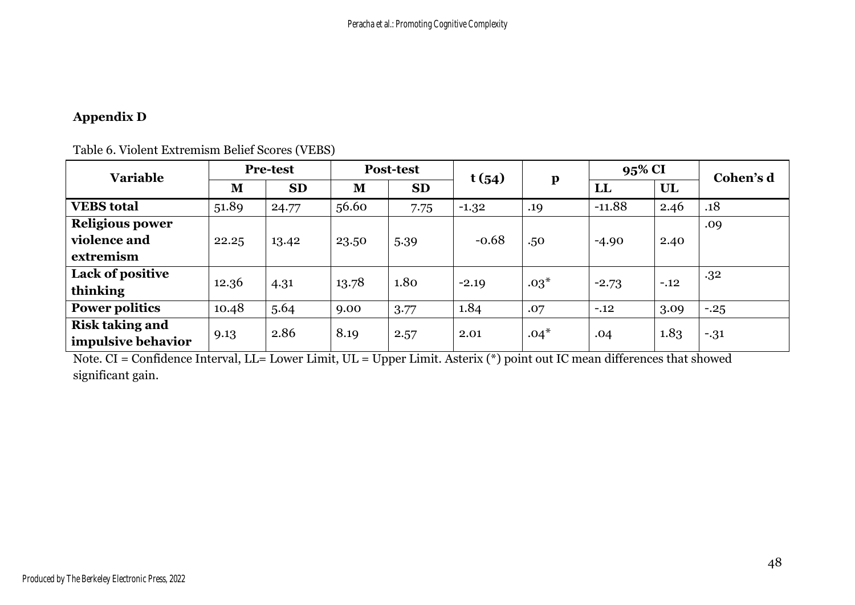# **Appendix D**

| <b>Variable</b>        | <b>Pre-test</b> |           | <b>Post-test</b> |           | t(54)   |              | 95% CI   |        | Cohen's d |
|------------------------|-----------------|-----------|------------------|-----------|---------|--------------|----------|--------|-----------|
|                        | M               | <b>SD</b> | M                | <b>SD</b> |         | $\mathbf{p}$ | LL       | UL     |           |
| <b>VEBS</b> total      | 51.89           | 24.77     | 56.60            | 7.75      | $-1.32$ | .19          | $-11.88$ | 2.46   | .18       |
| <b>Religious power</b> |                 |           |                  |           |         |              |          |        | .09       |
| violence and           | 22.25           | 13.42     | 23.50            | 5.39      | $-0.68$ | .50          | $-4.90$  | 2.40   |           |
| extremism              |                 |           |                  |           |         |              |          |        |           |
| Lack of positive       | 12.36           |           | 13.78            | 1.80      | $-2.19$ | $.03*$       | $-2.73$  | $-.12$ | .32       |
| thinking               |                 | 4.31      |                  |           |         |              |          |        |           |
| <b>Power politics</b>  | 10.48           | 5.64      | 9.00             | 3.77      | 1.84    | .07          | $-.12$   | 3.09   | $-.25$    |
| <b>Risk taking and</b> |                 |           |                  |           |         |              |          |        |           |
| impulsive behavior     | 9.13            | 2.86      | 8.19             | 2.57      | 2.01    | $.04*$       | .04      | 1.83   | $-31$     |

Table 6. Violent Extremism Belief Scores (VEBS)

Note. CI = Confidence Interval, LL= Lower Limit, UL = Upper Limit. Asterix (\*) point out IC mean differences that showed significant gain.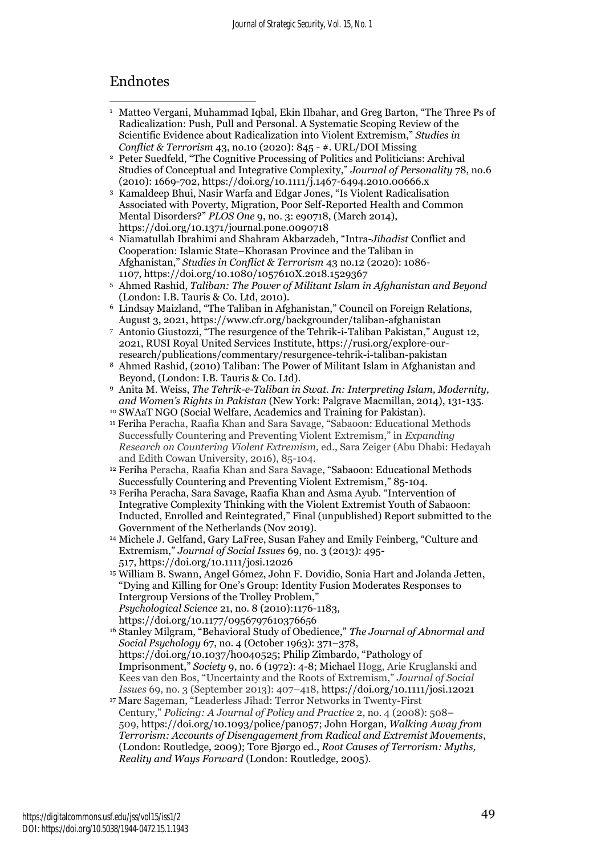# Endnotes

- <sup>1</sup> Matteo Vergani, Muhammad Iqbal, Ekin Ilbahar, and Greg Barton, "The Three Ps of Radicalization: Push, Pull and Personal. A Systematic Scoping Review of the Scientific Evidence about Radicalization into Violent Extremism," *Studies in Conflict & Terrorism* 43, no.10 (2020): 845 - #. URL/DOI Missing
- <sup>2</sup> Peter Suedfeld, "The Cognitive Processing of Politics and Politicians: Archival Studies of Conceptual and Integrative Complexity," *Journal of Personality* 78, no.6 (2010): 1669-702, https://doi.org/10.1111/j.1467-6494.2010.00666.x
- <sup>3</sup> Kamaldeep Bhui, Nasir Warfa and Edgar Jones, "Is Violent Radicalisation Associated with Poverty, Migration, Poor Self-Reported Health and Common Mental Disorders?" *PLOS One* 9, no. 3: e90718, (March 2014), https://doi.org/10.1371/journal.pone.0090718
- <sup>4</sup> Niamatullah Ibrahimi and Shahram Akbarzadeh, "Intra-*Jihadist* Conflict and Cooperation: Islamic State–Khorasan Province and the Taliban in Afghanistan," *Studies in Conflict & Terrorism* 43 no.12 (2020): 1086- 1107, https://doi.org[/10.1080/1057610X.2018.1529367](https://doi.org/10.1080/1057610X.2018.1529367)
- <sup>5</sup> Ahmed Rashid, *Taliban: The Power of Militant Islam in Afghanistan and Beyond* (London: I.B. Tauris & Co. Ltd, 2010).
- <sup>6</sup> Lindsay Maizland, "The Taliban in Afghanistan," Council on Foreign Relations, August 3, 2021, https://www.cfr.org/backgrounder/taliban-afghanistan
- <sup>7</sup> Antonio Giustozzi, "The resurgence of the Tehrik-i-Taliban Pakistan," August 12, 2021, RUSI Royal United Services Institute, https://rusi.org/explore-ourresearch/publications/commentary/resurgence-tehrik-i-taliban-pakistan
- <sup>8</sup> Ahmed Rashid, (2010) Taliban: The Power of Militant Islam in Afghanistan and Beyond, (London: I.B. Tauris & Co. Ltd).
- <sup>9</sup> Anita M. Weiss, *The Tehrik-e-Taliban in Swat. In: Interpreting Islam, Modernity, and Women's Rights in Pakistan* (New York: Palgrave Macmillan, 2014), 131-135. <sup>10</sup> SWAaT NGO (Social Welfare, Academics and Training for Pakistan).
- <sup>11</sup> Feriha Peracha, Raafia Khan and Sara Savage, "Sabaoon: Educational Methods Successfully Countering and Preventing Violent Extremism," in *Expanding Research on Countering Violent Extremism,* ed., Sara Zeiger (Abu Dhabi: Hedayah and Edith Cowan University, 2016), 85-104.
- <sup>12</sup> Feriha Peracha, Raafia Khan and Sara Savage, "Sabaoon: Educational Methods Successfully Countering and Preventing Violent Extremism," 85-104.
- <sup>13</sup> Feriha Peracha, Sara Savage, Raafia Khan and Asma Ayub. "Intervention of Integrative Complexity Thinking with the Violent Extremist Youth of Sabaoon: Inducted, Enrolled and Reintegrated," Final (unpublished) Report submitted to the Government of the Netherlands (Nov 2019).
- <sup>14</sup> Michele J. Gelfand, Gary LaFree, Susan Fahey and Emily Feinberg, "Culture and Extremism," *Journal of Social Issues* 69, no. 3 (2013): 495- 517, https://doi.org/10.1111/josi.12026
- <sup>15</sup> William B. Swann, Angel Gómez, John F. Dovidio, Sonia Hart and Jolanda Jetten, "Dying and Killing for One's Group: Identity Fusion Moderates Responses to Intergroup Versions of the Trolley Problem," *Psychological Science* 21, no. 8 (2010):1176-1183, https://doi.org/10.1177/0956797610376656
- <sup>16</sup> Stanley Milgram, "Behavioral Study of Obedience," *The Journal of Abnormal and Social Psychology* 67, no. 4 (October 1963): 371–378, [https://doi.org/10.1037/h0040525;](https://doi.org/10.1037/h0040525) Philip Zimbardo, "Pathology of Imprisonment," *Society* 9, no. 6 (1972): 4-8; Michael Hogg, Arie Kruglanski and Kees van den Bos, "Uncertainty and the Roots of Extremism," *Journal of Social Issues* 69, no. 3 (September 2013): 407–418, https://doi.org/10.1111/josi.12021
- <sup>17</sup> Marc Sageman, "Leaderless Jihad: Terror Networks in Twenty-First Century," *Policing: A Journal of Policy and Practice* 2, no. 4 (2008): 508– 509, https://doi.org/10.1093/police/pan057; John Horgan, *Walking Away from Terrorism: Accounts of Disengagement from Radical and Extremist Movements*, (London: Routledge, 2009); Tore Bjørgo ed., *Root Causes of Terrorism: Myths, Reality and Ways Forward* (London: Routledge, 2005).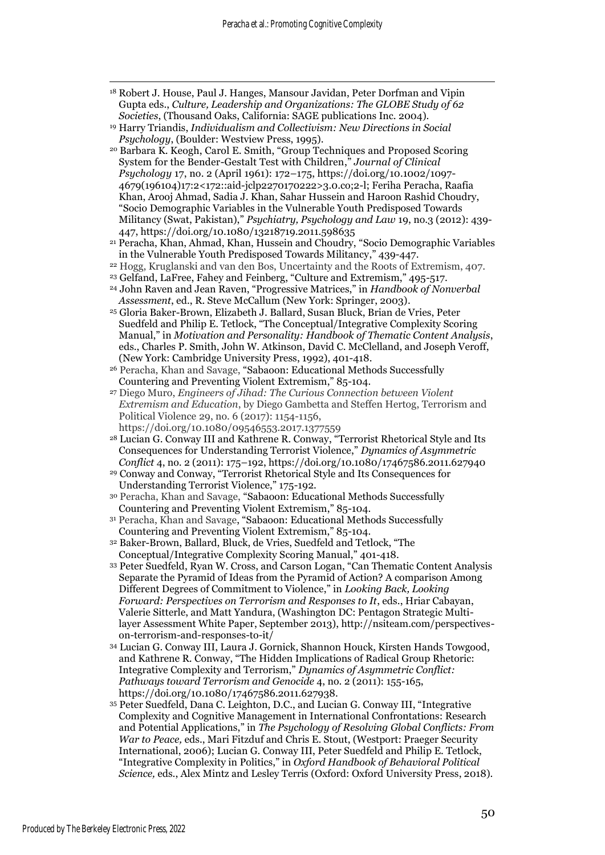- <sup>18</sup> Robert J. House, Paul J. Hanges, Mansour Javidan, Peter Dorfman and Vipin Gupta eds., *Culture, Leadership and Organizations: The GLOBE Study of 62 Societies*, (Thousand Oaks, California: SAGE publications Inc. 2004).
- <sup>19</sup> Harry Triandis, *Individualism and Collectivism: New Directions in Social Psychology*, (Boulder: Westview Press, 1995).
- <sup>20</sup> Barbara K. Keogh, Carol E. Smith, "Group Techniques and Proposed Scoring System for the Bender-Gestalt Test with Children," *Journal of Clinical Psychology* 17, no. 2 (April 1961): 172–175, [https://doi.org/10.1002/1097-](https://doi.org/10.1002/1097-4679(196104)17:2%3c172::aid-jclp2270170222%3e3.0.co;2-l) [4679\(196104\)17:2<172::aid-jclp2270170222>3.0.co;2-l;](https://doi.org/10.1002/1097-4679(196104)17:2%3c172::aid-jclp2270170222%3e3.0.co;2-l) Feriha Peracha, Raafia Khan, Arooj Ahmad, Sadia J. Khan, Sahar Hussein and Haroon Rashid Choudry, "Socio Demographic Variables in the Vulnerable Youth Predisposed Towards Militancy (Swat, Pakistan)," *Psychiatry, Psychology and Law* 19, no.3 (2012): 439- 447, https://doi.org/10.1080/13218719.2011.598635
- <sup>21</sup> Peracha, Khan, Ahmad, Khan, Hussein and Choudry, "Socio Demographic Variables in the Vulnerable Youth Predisposed Towards Militancy," 439-447.
- <sup>22</sup> Hogg, Kruglanski and van den Bos, Uncertainty and the Roots of Extremism, 407.
- <sup>23</sup> Gelfand, LaFree, Fahey and Feinberg, "Culture and Extremism," 495-517.
- <sup>24</sup> John Raven and Jean Raven, "Progressive Matrices," in *Handbook of Nonverbal Assessment*, ed., R. Steve McCallum (New York: Springer, 2003).
- <sup>25</sup> Gloria Baker-Brown, Elizabeth J. Ballard, Susan Bluck, Brian de Vries, Peter Suedfeld and Philip E. Tetlock, "The Conceptual/Integrative Complexity Scoring Manual," in *Motivation and Personality: Handbook of Thematic Content Analysis*, eds., Charles P. Smith, John W. Atkinson, David C. McClelland, and Joseph Veroff, (New York: Cambridge University Press, 1992), 401-418.
- <sup>26</sup> Peracha, Khan and Savage, "Sabaoon: Educational Methods Successfully Countering and Preventing Violent Extremism," 85-104.
- <sup>27</sup> Diego Muro, *Engineers of Jihad: The Curious Connection between Violent Extremism and Education*, by Diego Gambetta and Steffen Hertog, Terrorism and Political Violence 29, no. 6 (2017): 1154-1156, https://doi.org[/10.1080/09546553.2017.1377559](https://doi.org/10.1080/09546553.2017.1377559)
- <sup>28</sup> Lucian G. Conway III and Kathrene R. Conway, "Terrorist Rhetorical Style and Its Consequences for Understanding Terrorist Violence," *Dynamics of Asymmetric Conflict* 4, no. 2 (2011): 175–192[, https://doi.org/10.1080/17467586.2011.627940](https://doi.org/10.1080/17467586.2011.627940)
- <sup>29</sup> Conway and Conway, "Terrorist Rhetorical Style and Its Consequences for Understanding Terrorist Violence," 175-192.
- <sup>30</sup> Peracha, Khan and Savage, "Sabaoon: Educational Methods Successfully Countering and Preventing Violent Extremism," 85-104.
- <sup>31</sup> Peracha, Khan and Savage, "Sabaoon: Educational Methods Successfully Countering and Preventing Violent Extremism," 85-104.
- <sup>32</sup> Baker-Brown, Ballard, Bluck, de Vries, Suedfeld and Tetlock, "The Conceptual/Integrative Complexity Scoring Manual," 401-418.
- <sup>33</sup> Peter Suedfeld, Ryan W. Cross, and Carson Logan, "Can Thematic Content Analysis Separate the Pyramid of Ideas from the Pyramid of Action? A comparison Among Different Degrees of Commitment to Violence," in *Looking Back, Looking Forward: Perspectives on Terrorism and Responses to It*, eds., Hriar Cabayan, Valerie Sitterle, and Matt Yandura, (Washington DC: Pentagon Strategic Multilayer Assessment White Paper, September 2013), http://nsiteam.com/perspectiveson-terrorism-and-responses-to-it/
- <sup>34</sup> Lucian G. Conway III, Laura J. Gornick, Shannon Houck, Kirsten Hands Towgood, and Kathrene R. Conway, "The Hidden Implications of Radical Group Rhetoric: Integrative Complexity and Terrorism," *Dynamics of Asymmetric Conflict: Pathways toward Terrorism and Genocide* 4, no. 2 (2011): 155-165, https://doi.org/10.1080/17467586.2011.627938.
- <sup>35</sup> Peter Suedfeld, Dana C. Leighton, D.C., and Lucian G. Conway III, "Integrative Complexity and Cognitive Management in International Confrontations: Research and Potential Applications," in *The Psychology of Resolving Global Conflicts: From War to Peace,* eds., Mari Fitzduf and Chris E. Stout, (Westport: Praeger Security International, 2006); Lucian G. Conway III, Peter Suedfeld and Philip E. Tetlock, "Integrative Complexity in Politics," in *Oxford Handbook of Behavioral Political Science,* eds., Alex Mintz and Lesley Terris (Oxford: Oxford University Press, 2018).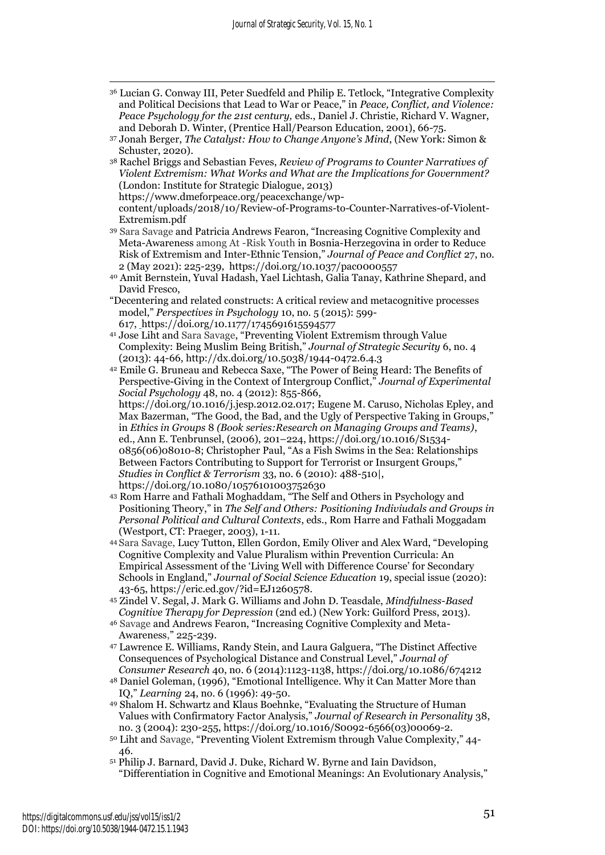- <sup>36</sup> Lucian G. Conway III, Peter Suedfeld and Philip E. Tetlock, "Integrative Complexity and Political Decisions that Lead to War or Peace," in *Peace, Conflict, and Violence: Peace Psychology for the 21st century,* eds., Daniel J. Christie, Richard V. Wagner, and Deborah D. Winter, (Prentice Hall/Pearson Education, 2001), 66-75.
- <sup>37</sup> Jonah Berger, *The Catalyst: How to Change Anyone's Mind*, (New York: Simon & Schuster, 2020).
- <sup>38</sup> Rachel Briggs and Sebastian Feves, *Review of Programs to Counter Narratives of Violent Extremism: What Works and What are the Implications for Government?* (London: Institute for Strategic Dialogue, 2013) https://www.dmeforpeace.org/peacexchange/wp-
- content/uploads/2018/10/Review-of-Programs-to-Counter-Narratives-of-Violent-Extremism.pdf
- <sup>39</sup> Sara Savage and Patricia Andrews Fearon, "Increasing Cognitive Complexity and Meta-Awareness among At -Risk Youth in Bosnia-Herzegovina in order to Reduce Risk of Extremism and Inter-Ethnic Tension," *Journal of Peace and Conflict* 27, no. 2 (May 2021): 225-239, [https://doi.org/10.1037/pac0000557](https://psycnet.apa.org/doi/10.1037/pac0000557)
- <sup>40</sup> Amit Bernstein, Yuval Hadash, Yael Lichtash, Galia Tanay, Kathrine Shepard, and David Fresco,
- "Decentering and related constructs: A critical review and metacognitive processes model," *Perspectives in Psychology* 10, no. 5 (2015): 599- 617, [h](file:///C:/Users/sarasavage/Dropbox/APA%20revision%20docs%20upload%2027%20Jan%202021/COPY%20JSS/ )ttps://doi.org/10.1177/1745691615594577
- <sup>41</sup> Jose Liht and Sara Savage, "Preventing Violent Extremism through Value Complexity: Being Muslim Being British," *Journal of Strategic Security* 6, no. 4 (2013): 44-66, http://dx.doi.org/10.5038/1944-0472.6.4.3
- <sup>42</sup> Emile G. Bruneau and Rebecca Saxe, "The Power of Being Heard: The Benefits of Perspective-Giving in the Context of Intergroup Conflict," *Journal of Experimental Social Psychology* 48, no. 4 (2012): 855-866, [https://doi.org/10.1016/j.jesp.2012.02.017;](https://doi.org/10.1016/j.jesp.2012.02.017) Eugene M. Caruso, Nicholas Epley, and Max Bazerman, "The Good, the Bad, and the Ugly of Perspective Taking in Groups," in *Ethics in Groups* 8 *(Book series:Research on Managing Groups and Teams)*, ed., Ann E. Tenbrunsel, (2006), 201–224, [https://doi.org/10.1016/S1534-](https://doi.org/10.1016/S1534-0856(06)08010-8) [0856\(06\)08010-8;](https://doi.org/10.1016/S1534-0856(06)08010-8) Christopher Paul, "As a Fish Swims in the Sea: Relationships Between Factors Contributing to Support for Terrorist or Insurgent Groups," *Studies in Conflict & Terrorism* 33, no. 6 (2010): 488-510|, https://doi.org/10.1080/10576101003752630
- <sup>43</sup> Rom Harre and Fathali Moghaddam, "The Self and Others in Psychology and Positioning Theory," in *The Self and Others: Positioning Indiviudals and Groups in Personal Political and Cultural Contexts*, eds., Rom Harre and Fathali Moggadam (Westport, CT: Praeger, 2003), 1-11.
- <sup>44</sup> Sara Savage, Lucy Tutton, Ellen Gordon, Emily Oliver and Alex Ward, "Developing Cognitive Complexity and Value Pluralism within Prevention Curricula: An Empirical Assessment of the 'Living Well with Difference Course' for Secondary Schools in England," *Journal of Social Science Education* 19, special issue (2020): 43-65, https://eric.ed.gov/?id=EJ1260578.
- <sup>45</sup> Zindel V. Segal, J. Mark G. Williams and John D. Teasdale, *Mindfulness-Based Cognitive Therapy for Depression* (2nd ed.) (New York: Guilford Press, 2013).
- <sup>46</sup> Savage and Andrews Fearon, "Increasing Cognitive Complexity and Meta-Awareness," 225-239.
- <sup>47</sup> Lawrence E. Williams, Randy Stein, and Laura Galguera, "The Distinct Affective Consequences of Psychological Distance and Construal Level," *Journal of Consumer Research* 40, no. 6 (2014):1123-1138, https://doi.org/10.1086/674212
- <sup>48</sup> Daniel Goleman, (1996), "Emotional Intelligence. Why it Can Matter More than IQ," *Learning* 24, no. 6 (1996): 49-50.
- <sup>49</sup> Shalom H. Schwartz and Klaus Boehnke, "Evaluating the Structure of Human Values with Confirmatory Factor Analysis," *Journal of Research in Personality* 38, no. 3 (2004): 230-255, https://doi.org/10.1016/S0092-6566(03)00069-2.
- <sup>50</sup> Liht and Savage, "Preventing Violent Extremism through Value Complexity," 44- 46.
- <sup>51</sup> Philip J. Barnard, David J. Duke, Richard W. Byrne and Iain Davidson, "Differentiation in Cognitive and Emotional Meanings: An Evolutionary Analysis,"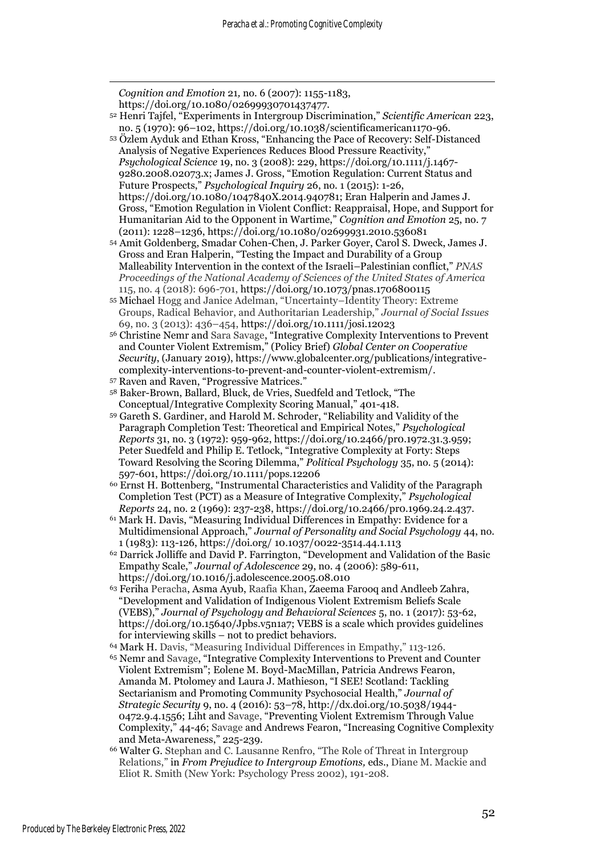*Cognition and Emotion* 21*,* no. 6 (2007): 1155-1183, https://doi.org/10.1080/02699930701437477.

- <sup>52</sup> Henri Tajfel, "Experiments in Intergroup Discrimination," *Scientific American* 223, no. 5 (1970): 96–102, https://doi.org/10.1038/scientificamerican1170-96.
- <sup>53</sup> Özlem Ayduk and Ethan Kross, "Enhancing the Pace of Recovery: Self-Distanced Analysis of Negative Experiences Reduces Blood Pressure Reactivity," *Psychological Science* 19, no. 3 (2008): 229, [https://doi.org/10.1111/j.1467-](https://doi.org/10.1111/j.1467-9280.2008.02073.x) [9280.2008.02073.x;](https://doi.org/10.1111/j.1467-9280.2008.02073.x) James J. Gross, "Emotion Regulation: Current Status and Future Prospects," *Psychological Inquiry* 26, no. 1 (2015): 1-26, https://doi.org/10.1080/1047840X.2014.940781; Eran Halperin and James J. Gross, "Emotion Regulation in Violent Conflict: Reappraisal, Hope, and Support for Humanitarian Aid to the Opponent in Wartime," *Cognition and Emotion* 25, no. 7 (2011): 1228–1236, https://doi.org/10.1080/02699931.2010.536081
- <sup>54</sup> Amit Goldenberg, Smadar Cohen-Chen, J. Parker Goyer, Carol S. Dweck, James J. Gross and Eran Halperin, "Testing the Impact and Durability of a Group Malleability Intervention in the context of the Israeli–Palestinian conflict," *PNAS Proceedings of the National Academy of Sciences of the United States of America*  115, no. 4 (2018): 696-701, https://doi.org/10.1073/pnas.1706800115
- <sup>55</sup> Michael Hogg and Janice Adelman, "Uncertainty–Identity Theory: Extreme Groups, Radical Behavior, and Authoritarian Leadership," *Journal of Social Issues*  69, no. 3 (2013): 436–454, https://doi.org/10.1111/josi.12023
- <sup>56</sup> Christine Nemr and Sara Savage, "Integrative Complexity Interventions to Prevent and Counter Violent Extremism," (Policy Brief) *Global Center on Cooperative Security*, (January 2019), https://www.globalcenter.org/publications/integrativecomplexity-interventions-to-prevent-and-counter-violent-extremism/.
- <sup>57</sup> Raven and Raven, "Progressive Matrices."
- <sup>58</sup> Baker-Brown, Ballard, Bluck, de Vries, Suedfeld and Tetlock, "The Conceptual/Integrative Complexity Scoring Manual," 401-418.
- <sup>59</sup> Gareth S. Gardiner, and Harold M. Schroder, "Reliability and Validity of the Paragraph Completion Test: Theoretical and Empirical Notes," *Psychological Reports* 31, no. 3 (1972): 959-962, [https://doi.org/10.2466/pr0.1972.31.3.959;](https://doi.org/10.2466/pr0.1972.31.3.959) Peter Suedfeld and Philip E. Tetlock, "Integrative Complexity at Forty: Steps Toward Resolving the Scoring Dilemma," *Political Psychology* 35, no. 5 (2014): 597-601, https://doi.org/10.1111/pops.12206
- <sup>60</sup> Ernst H. Bottenberg, "Instrumental Characteristics and Validity of the Paragraph Completion Test (PCT) as a Measure of Integrative Complexity," *Psychological Reports* 24, no. 2 (1969): 237-238, https://doi.org/10.2466/pr0.1969.24.2.437.
- <sup>61</sup> Mark H. Davis, "Measuring Individual Differences in Empathy: Evidence for a Multidimensional Approach," *Journal of Personality and Social Psychology* 44, no. 1 (1983): 113-126, https://doi.org/ 10.1037/0022-3514.44.1.113
- <sup>62</sup> Darrick Jolliffe and David P. Farrington, "Development and Validation of the Basic Empathy Scale," *Journal of Adolescence* 29, no. 4 (2006): 589-611, https://doi.org/10.1016/j.adolescence.2005.08.010
- <sup>63</sup> Feriha Peracha, Asma Ayub, Raafia Khan, Zaeema Farooq and Andleeb Zahra, "Development and Validation of Indigenous Violent Extremism Beliefs Scale (VEBS)," *Journal of Psychology and Behavioral Sciences* 5, no. 1 (2017): 53-62, https://doi.org/10.15640/Jpbs.v5n1a7; VEBS is a scale which provides guidelines for interviewing skills – not to predict behaviors.
- <sup>64</sup> Mark H. Davis, "Measuring Individual Differences in Empathy," 113-126.
- <sup>65</sup> Nemr and Savage, "Integrative Complexity Interventions to Prevent and Counter Violent Extremism"; Eolene M. Boyd-MacMillan, Patricia Andrews Fearon, Amanda M. Ptolomey and Laura J. Mathieson, "I SEE! Scotland: Tackling Sectarianism and Promoting Community Psychosocial Health," *Journal of Strategic Security* 9, no. 4 (2016): 53–78, [http://dx.doi.org/10.5038/1944-](http://dx.doi.org/10.5038/1944-0472.9.4.1556) [0472.9.4.1556;](http://dx.doi.org/10.5038/1944-0472.9.4.1556) Liht and Savage, "Preventing Violent Extremism Through Value Complexity," 44-46; Savage and Andrews Fearon, "Increasing Cognitive Complexity and Meta-Awareness," 225-239.
- <sup>66</sup> Walter G. Stephan and C. Lausanne Renfro, "The Role of Threat in Intergroup Relations," in *From Prejudice to Intergroup Emotions,* eds., Diane M. Mackie and Eliot R. Smith (New York: Psychology Press 2002), 191-208.